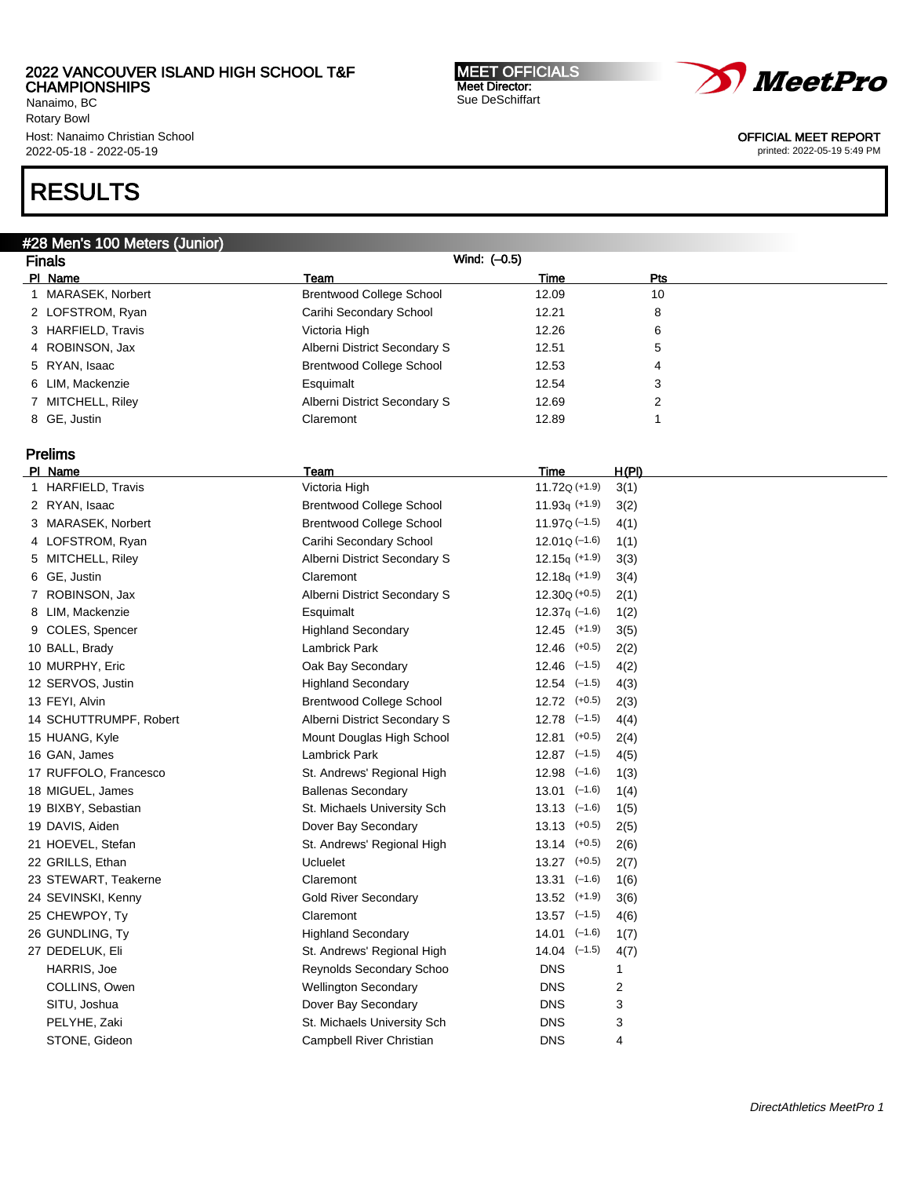Nanaimo, BC Rotary Bowl Host: Nanaimo Christian School 2022-05-18 - 2022-05-19

# RESULTS

### #28 Men's 100 Meters (Junior)

| <b>Finals</b>          | Wind: (-0.5)                    |                             |       |
|------------------------|---------------------------------|-----------------------------|-------|
| PI Name                | Team                            | Time                        | Pts   |
| 1 MARASEK, Norbert     | <b>Brentwood College School</b> | 12.09                       | 10    |
| 2 LOFSTROM, Ryan       | Carihi Secondary School         | 12.21                       | 8     |
| 3 HARFIELD, Travis     | Victoria High                   | 12.26                       | 6     |
| 4 ROBINSON, Jax        | Alberni District Secondary S    | 12.51                       | 5     |
| 5 RYAN, Isaac          | <b>Brentwood College School</b> | 12.53                       | 4     |
| 6 LIM, Mackenzie       | Esquimalt                       | 12.54                       | 3     |
| 7 MITCHELL, Riley      | Alberni District Secondary S    | 12.69                       | 2     |
| 8 GE, Justin           | Claremont                       | 12.89                       | 1     |
|                        |                                 |                             |       |
| <b>Prelims</b>         |                                 |                             |       |
| PI Name                | Team                            | Time                        | H(PI) |
| 1 HARFIELD, Travis     | Victoria High                   | $11.72Q (+1.9)$             | 3(1)  |
| 2 RYAN, Isaac          | <b>Brentwood College School</b> | 11.93 $q$ (+1.9)            | 3(2)  |
| 3 MARASEK, Norbert     | <b>Brentwood College School</b> | $11.97Q (-1.5)$             | 4(1)  |
| 4 LOFSTROM, Ryan       | Carihi Secondary School         | $12.01Q (-1.6)$             | 1(1)  |
| 5 MITCHELL, Riley      | Alberni District Secondary S    | $12.15q (+1.9)$             | 3(3)  |
| 6 GE, Justin           | Claremont                       | $12.18q (+1.9)$             | 3(4)  |
| 7 ROBINSON, Jax        | Alberni District Secondary S    | $12.30Q (+0.5)$             | 2(1)  |
| 8 LIM, Mackenzie       | Esquimalt                       | $12.37q$ (-1.6)             | 1(2)  |
| 9 COLES, Spencer       | <b>Highland Secondary</b>       | $12.45$ $(+1.9)$            | 3(5)  |
| 10 BALL, Brady         | Lambrick Park                   | $12.46$ $(+0.5)$            | 2(2)  |
| 10 MURPHY, Eric        | Oak Bay Secondary               | $12.46$ $(-1.5)$            | 4(2)  |
| 12 SERVOS, Justin      | <b>Highland Secondary</b>       | $12.54$ $(-1.5)$            | 4(3)  |
| 13 FEYI, Alvin         | <b>Brentwood College School</b> | $12.72$ $(+0.5)$            | 2(3)  |
| 14 SCHUTTRUMPF, Robert | Alberni District Secondary S    | $12.78$ $(-1.5)$            | 4(4)  |
| 15 HUANG, Kyle         | Mount Douglas High School       | $12.81$ $(+0.5)$            | 2(4)  |
| 16 GAN, James          | Lambrick Park                   | $12.87$ $(-1.5)$            | 4(5)  |
| 17 RUFFOLO, Francesco  | St. Andrews' Regional High      | $12.98$ $(-1.6)$            | 1(3)  |
| 18 MIGUEL, James       | <b>Ballenas Secondary</b>       | $13.01$ $(-1.6)$            | 1(4)  |
| 19 BIXBY, Sebastian    | St. Michaels University Sch     | $13.13$ $(-1.6)$            | 1(5)  |
| 19 DAVIS, Aiden        | Dover Bay Secondary             | $13.13$ $(+0.5)$            | 2(5)  |
| 21 HOEVEL, Stefan      | St. Andrews' Regional High      | $13.14$ $(+0.5)$            | 2(6)  |
| 22 GRILLS, Ethan       | Ucluelet                        | $13.27$ $(+0.5)$            | 2(7)  |
| 23 STEWART, Teakerne   | Claremont                       | $13.31 \left( -1.6 \right)$ | 1(6)  |
| 24 SEVINSKI, Kenny     | <b>Gold River Secondary</b>     | $13.52$ $(+1.9)$            | 3(6)  |
| 25 CHEWPOY, Ty         | Claremont                       | $13.57$ $(-1.5)$            | 4(6)  |
| 26 GUNDLING, Ty        | <b>Highland Secondary</b>       | $14.01$ $(-1.6)$            | 1(7)  |
| 27 DEDELUK, Eli        | St. Andrews' Regional High      | $14.04$ $(-1.5)$            | 4(7)  |
| HARRIS, Joe            | Reynolds Secondary Schoo        | <b>DNS</b>                  |       |
| COLLINS, Owen          | <b>Wellington Secondary</b>     | <b>DNS</b>                  | 2     |
| SITU, Joshua           | Dover Bay Secondary             | <b>DNS</b>                  | 3     |
| PELYHE, Zaki           | St. Michaels University Sch     | <b>DNS</b>                  | 3     |
| STONE, Gideon          | Campbell River Christian        | <b>DNS</b>                  | 4     |



OFFICIAL MEET REPORT printed: 2022-05-19 5:49 PM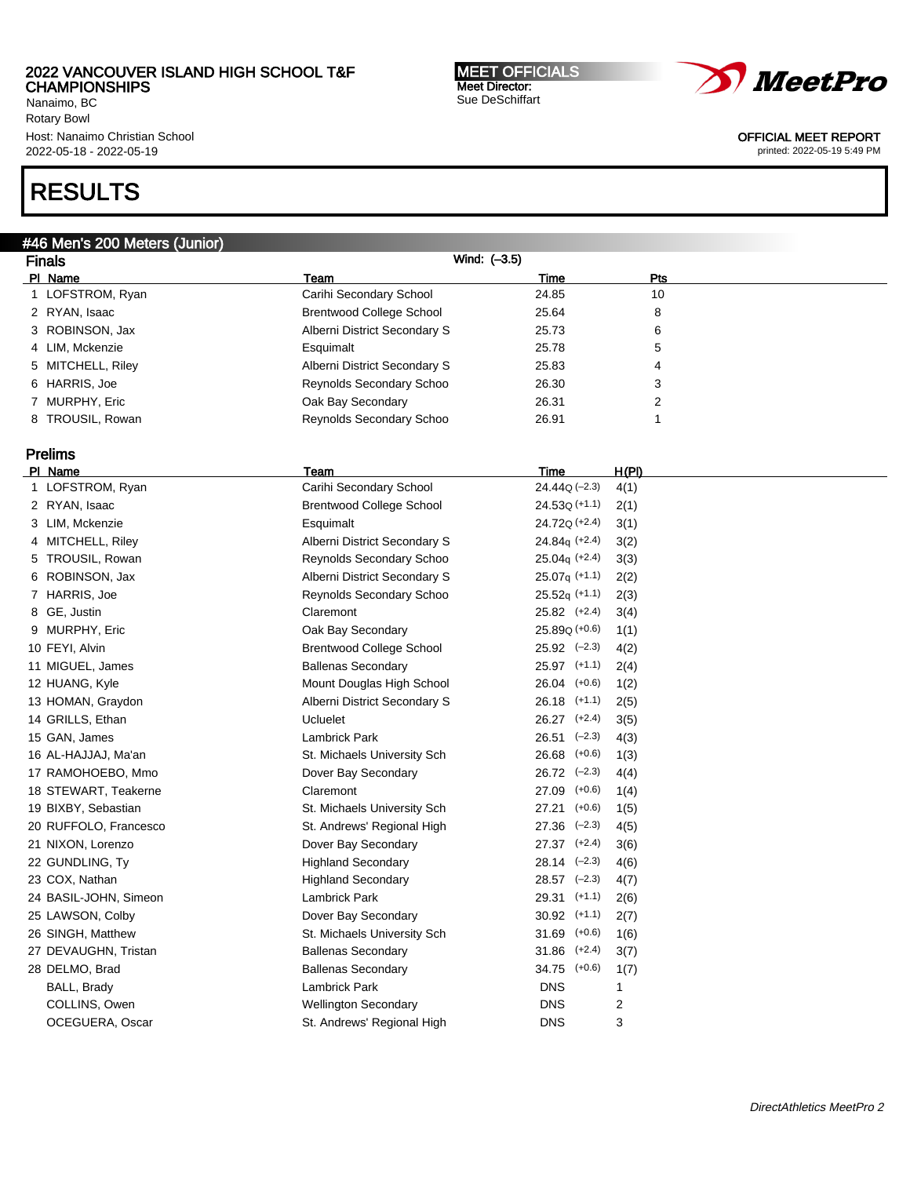Nanaimo, BC Rotary Bowl Host: Nanaimo Christian School 2022-05-18 - 2022-05-19

# RESULTS

### #46 Men's 200 Meters (Junior)

Finals Wind: (–3.5) PI Name Policy Pressure Pressure Pressure Pressure Pressure Pressure Pressure Pressure Pressure Pressure Press 1 LOFSTROM, Ryan **Carihi Secondary School** 24.85 24.85 10 2 RYAN, Isaac and Brentwood College School 25.64 8 3 ROBINSON, Jax 6 25.73 6 26.73 6 26.73 6 26.73 6 26.73 6 26.73 6 26.73 6 26.73 6 26.73 6 26.73 6 26.73 6 26.73 6 26.73 6 26.73 6 26.73 26.73 6 26.75 26.75 26.75 26.75 26.75 26.75 27.73 27.73 27.73 27.73 27.73 27.73 27.73 4 LIM, Mckenzie Esquimalt 25.78 5 5 MITCHELL, Riley **Alberni District Secondary S** 25.83 4 6 HARRIS, Joe Reynolds Secondary Schoo 26.30 3 7 MURPHY, Eric **2006** 2008 2012 20:31 2012 20:31 8 TROUSIL, Rowan **Reynolds Secondary Schoo** 26.91 1

# Prelims

| PI Name               | Team                            | Time              | H(PI) |
|-----------------------|---------------------------------|-------------------|-------|
| 1 LOFSTROM, Ryan      | Carihi Secondary School         | $24.44Q (-2.3)$   | 4(1)  |
| 2 RYAN, Isaac         | <b>Brentwood College School</b> | $24.53Q (+1.1)$   | 2(1)  |
| 3 LIM, Mckenzie       | Esquimalt                       | 24.720 (+2.4)     | 3(1)  |
| 4 MITCHELL, Riley     | Alberni District Secondary S    | $24.84q (+2.4)$   | 3(2)  |
| 5 TROUSIL, Rowan      | Reynolds Secondary Schoo        | $25.04q (+2.4)$   | 3(3)  |
| 6 ROBINSON, Jax       | Alberni District Secondary S    | $25.07q$ (+1.1)   | 2(2)  |
| 7 HARRIS, Joe         | Reynolds Secondary Schoo        | $25.52q$ (+1.1)   | 2(3)  |
| 8 GE, Justin          | Claremont                       | $25.82$ $(+2.4)$  | 3(4)  |
| 9 MURPHY, Eric        | Oak Bay Secondary               | $25.89Q (+0.6)$   | 1(1)  |
| 10 FEYI, Alvin        | <b>Brentwood College School</b> | $25.92$ $(-2.3)$  | 4(2)  |
| 11 MIGUEL, James      | <b>Ballenas Secondary</b>       | $25.97$ $(+1.1)$  | 2(4)  |
| 12 HUANG, Kyle        | Mount Douglas High School       | 26.04 (+0.6)      | 1(2)  |
| 13 HOMAN, Graydon     | Alberni District Secondary S    | $26.18$ (+1.1)    | 2(5)  |
| 14 GRILLS, Ethan      | <b>Ucluelet</b>                 | $26.27$ $(+2.4)$  | 3(5)  |
| 15 GAN, James         | <b>Lambrick Park</b>            | $26.51$ $(-2.3)$  | 4(3)  |
| 16 AL-HAJJAJ, Ma'an   | St. Michaels University Sch     | 26.68 (+0.6)      | 1(3)  |
| 17 RAMOHOEBO, Mmo     | Dover Bay Secondary             | $26.72$ $(-2.3)$  | 4(4)  |
| 18 STEWART, Teakerne  | Claremont                       | 27.09<br>$(+0.6)$ | 1(4)  |
| 19 BIXBY, Sebastian   | St. Michaels University Sch     | $(+0.6)$<br>27.21 | 1(5)  |
| 20 RUFFOLO, Francesco | St. Andrews' Regional High      | $27.36$ $(-2.3)$  | 4(5)  |
| 21 NIXON, Lorenzo     | Dover Bay Secondary             | $27.37$ $(+2.4)$  | 3(6)  |
| 22 GUNDLING, Ty       | <b>Highland Secondary</b>       | $28.14$ $(-2.3)$  | 4(6)  |
| 23 COX, Nathan        | <b>Highland Secondary</b>       | $28.57$ $(-2.3)$  | 4(7)  |
| 24 BASIL-JOHN, Simeon | Lambrick Park                   | $29.31$ (+1.1)    | 2(6)  |
| 25 LAWSON, Colby      | Dover Bay Secondary             | $30.92$ (+1.1)    | 2(7)  |
| 26 SINGH, Matthew     | St. Michaels University Sch     | $31.69$ (+0.6)    | 1(6)  |
| 27 DEVAUGHN, Tristan  | <b>Ballenas Secondary</b>       | $31.86$ $(+2.4)$  | 3(7)  |
| 28 DELMO, Brad        | <b>Ballenas Secondary</b>       | $34.75$ $(+0.6)$  | 1(7)  |
| BALL, Brady           | <b>Lambrick Park</b>            | <b>DNS</b>        | 1     |
| COLLINS, Owen         | <b>Wellington Secondary</b>     | <b>DNS</b>        | 2     |
| OCEGUERA, Oscar       | St. Andrews' Regional High      | <b>DNS</b>        | 3     |
|                       |                                 |                   |       |

MEET OFFICIALS Meet Director: Sue DeSchiffart

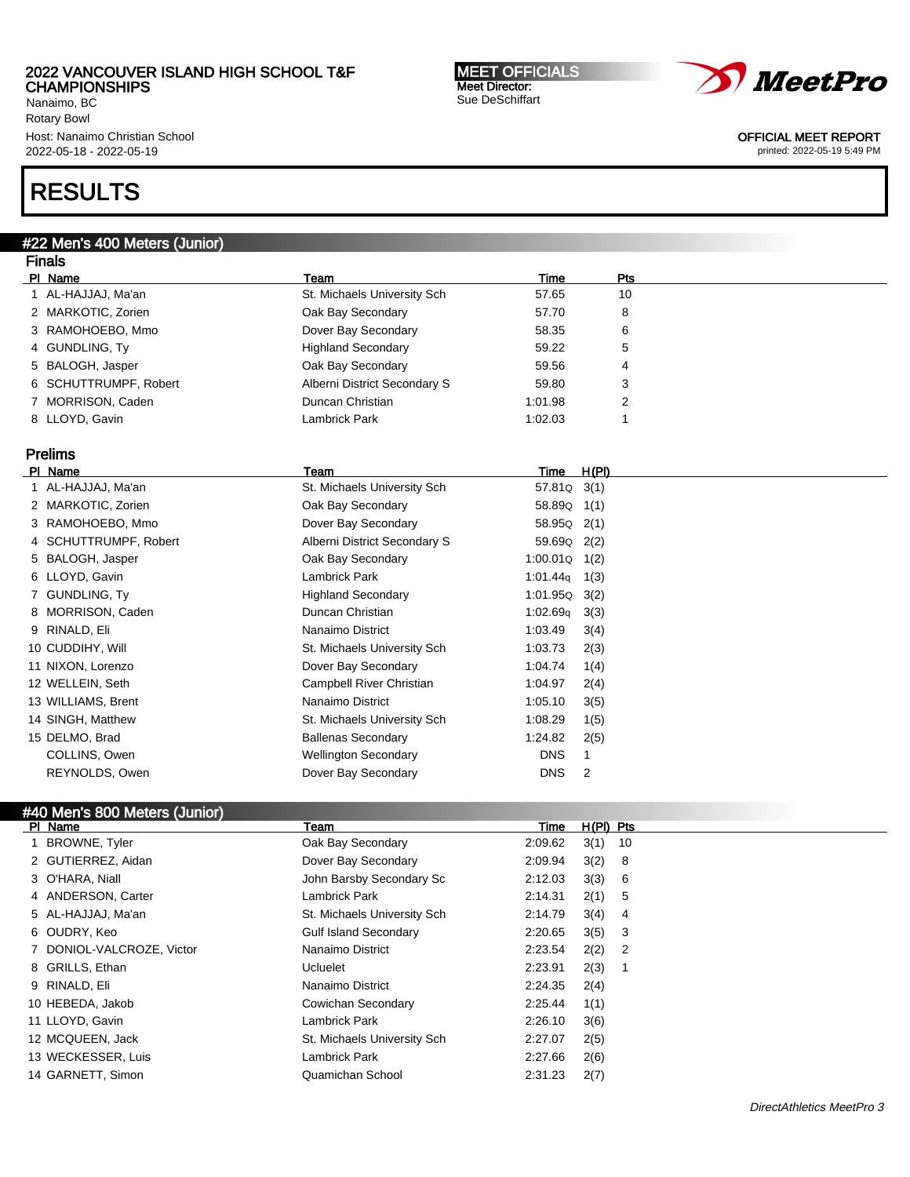Nanaimo, BC Rotary Bowl Host: Nanaimo Christian School 2022-05-18 - 2022-05-19

# RESULTS

### #22 Men's 400 Meters (Junior)

| <b>Finals</b>         |                                 |                      |                |
|-----------------------|---------------------------------|----------------------|----------------|
| PI Name               | Team                            | Time                 | Pts            |
| 1 AL-HAJJAJ, Ma'an    | St. Michaels University Sch     | 57.65                | 10             |
| 2 MARKOTIC, Zorien    | Oak Bay Secondary               | 57.70                | 8              |
| 3 RAMOHOEBO, Mmo      | Dover Bay Secondary             | 58.35                | 6              |
| 4 GUNDLING, Ty        | <b>Highland Secondary</b>       | 59.22                | 5              |
| 5 BALOGH, Jasper      | Oak Bay Secondary               | 59.56                | 4              |
| 6 SCHUTTRUMPF, Robert | Alberni District Secondary S    | 59.80                | 3              |
| 7 MORRISON, Caden     | Duncan Christian                | 1:01.98              | 2              |
| 8 LLOYD, Gavin        | <b>Lambrick Park</b>            | 1:02.03              |                |
| <b>Prelims</b>        |                                 |                      |                |
| PI Name               | Team                            | Time                 | H(PI)          |
| 1 AL-HAJJAJ, Ma'an    | St. Michaels University Sch     | 57.81Q               | 3(1)           |
| 2 MARKOTIC, Zorien    | Oak Bay Secondary               | 58.89Q               | 1(1)           |
| 3 RAMOHOEBO, Mmo      | Dover Bay Secondary             | 58.95Q               | 2(1)           |
| 4 SCHUTTRUMPF, Robert | Alberni District Secondary S    | 59.69Q               | 2(2)           |
| 5 BALOGH, Jasper      | Oak Bay Secondary               | 1:00.01Q             | 1(2)           |
| 6 LLOYD, Gavin        | <b>Lambrick Park</b>            | 1:01.44q             | 1(3)           |
| 7 GUNDLING, Ty        | <b>Highland Secondary</b>       | 1:01.95Q             | 3(2)           |
| 8 MORRISON, Caden     | Duncan Christian                | 1:02.69 <sub>q</sub> | 3(3)           |
| 9 RINALD, Eli         | Nanaimo District                | 1:03.49              | 3(4)           |
| 10 CUDDIHY, Will      | St. Michaels University Sch     | 1:03.73              | 2(3)           |
| 11 NIXON, Lorenzo     | Dover Bay Secondary             | 1:04.74              | 1(4)           |
| 12 WELLEIN, Seth      | <b>Campbell River Christian</b> | 1:04.97              | 2(4)           |
| 13 WILLIAMS, Brent    | Nanaimo District                | 1:05.10              | 3(5)           |
| 14 SINGH, Matthew     | St. Michaels University Sch     | 1:08.29              | 1(5)           |
| 15 DELMO, Brad        | <b>Ballenas Secondary</b>       | 1:24.82              | 2(5)           |
| COLLINS, Owen         | <b>Wellington Secondary</b>     | <b>DNS</b>           | $\mathbf{1}$   |
| REYNOLDS, Owen        | Dover Bay Secondary             | <b>DNS</b>           | $\overline{2}$ |
|                       |                                 |                      |                |

# #40 Men's 800 Meters (Junior)

| PI Name                   | Team                         | Time    | $H(PI)$ Pts |                |
|---------------------------|------------------------------|---------|-------------|----------------|
| 1 BROWNE, Tyler           | Oak Bay Secondary            | 2:09.62 | 3(1)        | -10            |
| 2 GUTIERREZ, Aidan        | Dover Bay Secondary          | 2:09.94 | 3(2)        | - 8            |
| 3 O'HARA, Niall           | John Barsby Secondary Sc     | 2:12.03 | 3(3)        | - 6            |
| 4 ANDERSON, Carter        | Lambrick Park                | 2:14.31 | 2(1)        | -5             |
| 5 AL-HAJJAJ, Ma'an        | St. Michaels University Sch  | 2:14.79 | 3(4)        | 4              |
| 6 OUDRY, Keo              | <b>Gulf Island Secondary</b> | 2:20.65 | 3(5)        | -3             |
| 7 DONIOL-VALCROZE, Victor | Nanaimo District             | 2:23.54 | 2(2)        | $\overline{2}$ |
| 8 GRILLS, Ethan           | Ucluelet                     | 2:23.91 | 2(3)        |                |
| 9 RINALD, Eli             | Nanaimo District             | 2:24.35 | 2(4)        |                |
| 10 HEBEDA, Jakob          | Cowichan Secondary           | 2:25.44 | 1(1)        |                |
| 11 LLOYD, Gavin           | Lambrick Park                | 2:26.10 | 3(6)        |                |
| 12 MCQUEEN, Jack          | St. Michaels University Sch  | 2:27.07 | 2(5)        |                |
| 13 WECKESSER, Luis        | Lambrick Park                | 2:27.66 | 2(6)        |                |
| 14 GARNETT, Simon         | Quamichan School             | 2:31.23 | 2(7)        |                |





OFFICIAL MEET REPORT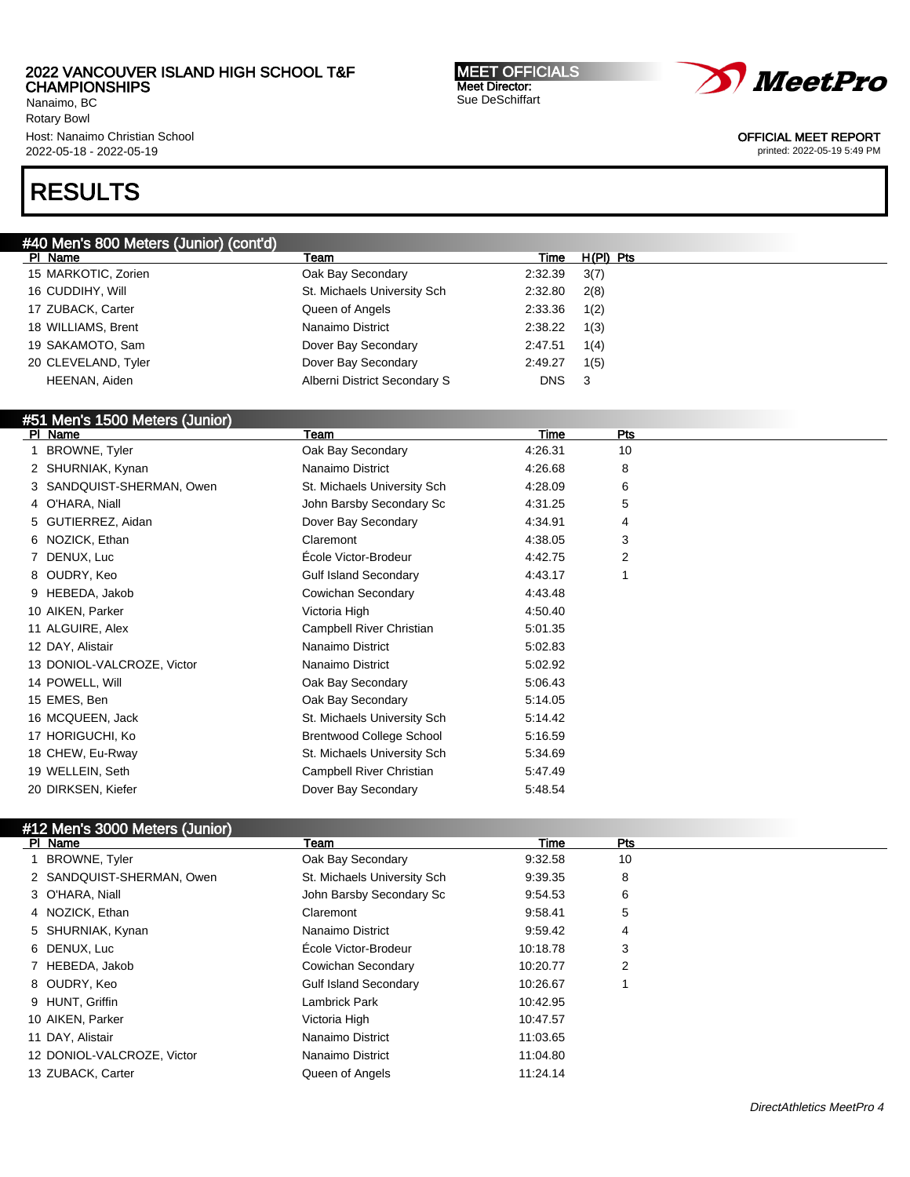Nanaimo, BC Rotary Bowl Host: Nanaimo Christian School 2022-05-18 - 2022-05-19

# RESULTS

### #40 Men's 800 Meters (Junior) (cont'd)

| PI Name             | Team                         | Time       | $H(PI)$ Pts |
|---------------------|------------------------------|------------|-------------|
| 15 MARKOTIC, Zorien | Oak Bay Secondary            | 2:32.39    | 3(7)        |
| 16 CUDDIHY, Will    | St. Michaels University Sch  | 2:32.80    | 2(8)        |
| 17 ZUBACK, Carter   | Queen of Angels              | 2:33.36    | 1(2)        |
| 18 WILLIAMS, Brent  | Nanaimo District             | 2:38.22    | 1(3)        |
| 19 SAKAMOTO, Sam    | Dover Bay Secondary          | 2:47.51    | 1(4)        |
| 20 CLEVELAND, Tyler | Dover Bay Secondary          | 2:49.27    | 1(5)        |
| HEENAN, Aiden       | Alberni District Secondary S | <b>DNS</b> | 3           |
|                     |                              |            |             |

# #51 Men's 1500 Meters (Junior)

| PI Name                    | Team                            | Time    | Pts |  |
|----------------------------|---------------------------------|---------|-----|--|
| <b>BROWNE, Tyler</b>       | Oak Bay Secondary               | 4:26.31 | 10  |  |
| 2 SHURNIAK, Kynan          | Nanaimo District                | 4:26.68 | 8   |  |
| 3 SANDQUIST-SHERMAN, Owen  | St. Michaels University Sch     | 4:28.09 | 6   |  |
| 4 O'HARA, Niall            | John Barsby Secondary Sc        | 4:31.25 | 5   |  |
| 5 GUTIERREZ, Aidan         | Dover Bay Secondary             | 4:34.91 | 4   |  |
| 6 NOZICK, Ethan            | Claremont                       | 4:38.05 | 3   |  |
| 7 DENUX, Luc               | École Victor-Brodeur            | 4:42.75 | 2   |  |
| 8 OUDRY, Keo               | <b>Gulf Island Secondary</b>    | 4:43.17 |     |  |
| 9 HEBEDA, Jakob            | Cowichan Secondary              | 4:43.48 |     |  |
| 10 AIKEN, Parker           | Victoria High                   | 4:50.40 |     |  |
| 11 ALGUIRE, Alex           | Campbell River Christian        | 5:01.35 |     |  |
| 12 DAY, Alistair           | Nanaimo District                | 5:02.83 |     |  |
| 13 DONIOL-VALCROZE, Victor | Nanaimo District                | 5:02.92 |     |  |
| 14 POWELL, Will            | Oak Bay Secondary               | 5:06.43 |     |  |
| 15 EMES, Ben               | Oak Bay Secondary               | 5:14.05 |     |  |
| 16 MCQUEEN, Jack           | St. Michaels University Sch     | 5:14.42 |     |  |
| 17 HORIGUCHI, Ko           | <b>Brentwood College School</b> | 5:16.59 |     |  |
| 18 CHEW, Eu-Rway           | St. Michaels University Sch     | 5:34.69 |     |  |
| 19 WELLEIN, Seth           | Campbell River Christian        | 5:47.49 |     |  |
| 20 DIRKSEN, Kiefer         | Dover Bay Secondary             | 5:48.54 |     |  |
|                            |                                 |         |     |  |

### #12 Men's 3000 Meters (Junior)

| PI Name                    | Team                         | Time     | Pts |  |
|----------------------------|------------------------------|----------|-----|--|
| <b>BROWNE, Tyler</b>       | Oak Bay Secondary            | 9:32.58  | 10  |  |
| 2 SANDQUIST-SHERMAN, Owen  | St. Michaels University Sch  | 9:39.35  | 8   |  |
| 3 O'HARA, Niall            | John Barsby Secondary Sc     | 9:54.53  | 6   |  |
| 4 NOZICK, Ethan            | Claremont                    | 9:58.41  | 5   |  |
| 5 SHURNIAK, Kynan          | Nanaimo District             | 9:59.42  | 4   |  |
| 6 DENUX, Luc               | École Victor-Brodeur         | 10:18.78 | 3   |  |
| 7 HEBEDA, Jakob            | Cowichan Secondary           | 10:20.77 | 2   |  |
| 8 OUDRY, Keo               | <b>Gulf Island Secondary</b> | 10:26.67 |     |  |
| 9 HUNT, Griffin            | Lambrick Park                | 10:42.95 |     |  |
| 10 AIKEN, Parker           | Victoria High                | 10:47.57 |     |  |
| 11 DAY, Alistair           | Nanaimo District             | 11:03.65 |     |  |
| 12 DONIOL-VALCROZE, Victor | Nanaimo District             | 11:04.80 |     |  |
| 13 ZUBACK, Carter          | Queen of Angels              | 11:24.14 |     |  |



Sue DeSchiffart

MEET OFFICIALS Meet Director:

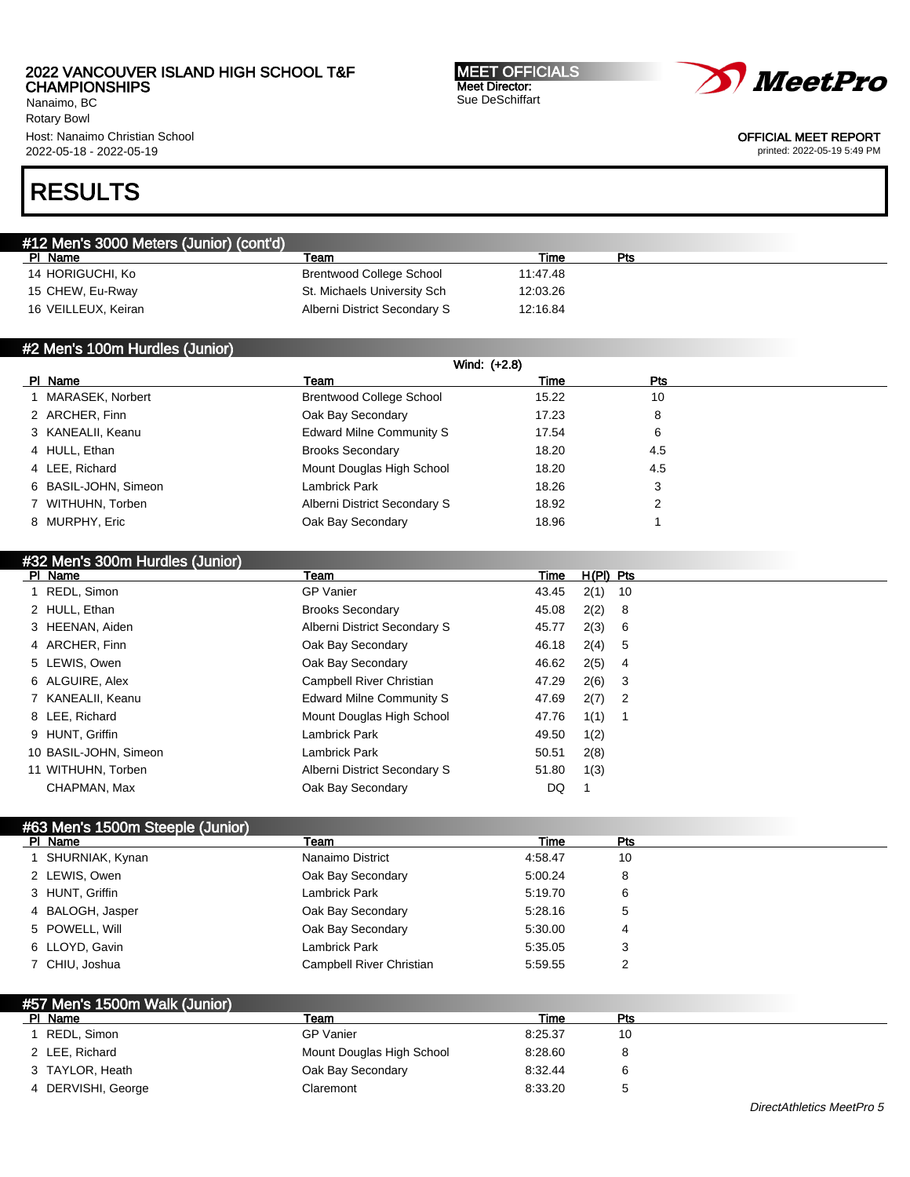Nanaimo, BC Rotary Bowl Host: Nanaimo Christian School 2022-05-18 - 2022-05-19

MEET OFFICIALS Meet Director: Sue DeSchiffart



OFFICIAL MEET REPORT

printed: 2022-05-19 5:49 PM

# RESULTS

| #12 Men's 3000 Meters (Junior) (cont'd) |                                 |          |     |  |
|-----------------------------------------|---------------------------------|----------|-----|--|
| ΡI<br>Name                              | Team                            | Time     | Pts |  |
| 14 HORIGUCHI, Ko                        | <b>Brentwood College School</b> | 11:47.48 |     |  |
| 15 CHEW, Eu-Rway                        | St. Michaels University Sch     | 12:03.26 |     |  |
| 16 VEILLEUX, Keiran                     | Alberni District Secondary S    | 12:16.84 |     |  |

### #2 Men's 100m Hurdles (Junior)

|                      | Wind: (+2.8)                    |       |     |  |
|----------------------|---------------------------------|-------|-----|--|
| PI Name              | Team                            | Time  | Pts |  |
| 1 MARASEK, Norbert   | <b>Brentwood College School</b> | 15.22 | 10  |  |
| 2 ARCHER, Finn       | Oak Bay Secondary               | 17.23 | 8   |  |
| 3 KANEALII, Keanu    | Edward Milne Community S        | 17.54 | 6   |  |
| 4 HULL, Ethan        | <b>Brooks Secondary</b>         | 18.20 | 4.5 |  |
| 4 LEE, Richard       | Mount Douglas High School       | 18.20 | 4.5 |  |
| 6 BASIL-JOHN, Simeon | Lambrick Park                   | 18.26 | 3   |  |
| 7 WITHUHN, Torben    | Alberni District Secondary S    | 18.92 | 2   |  |
| 8 MURPHY, Eric       | Oak Bay Secondary               | 18.96 |     |  |
|                      |                                 |       |     |  |

| #32 Men's 300m Hurdles (Junior) |                                 |       |             |  |
|---------------------------------|---------------------------------|-------|-------------|--|
| PI Name                         | Team                            | Time  | $H(PI)$ Pts |  |
| 1 REDL, Simon                   | <b>GP Vanier</b>                | 43.45 | 2(1)<br>10  |  |
| 2 HULL, Ethan                   | <b>Brooks Secondary</b>         | 45.08 | 2(2)<br>- 8 |  |
| 3 HEENAN, Aiden                 | Alberni District Secondary S    | 45.77 | 2(3)<br>- 6 |  |
| 4 ARCHER, Finn                  | Oak Bay Secondary               | 46.18 | 2(4)<br>5   |  |
| 5 LEWIS, Owen                   | Oak Bay Secondary               | 46.62 | 2(5)<br>4   |  |
| 6 ALGUIRE, Alex                 | Campbell River Christian        | 47.29 | 2(6)<br>- 3 |  |
| 7 KANEALII, Keanu               | <b>Edward Milne Community S</b> | 47.69 | $2(7)$ 2    |  |
| 8 LEE, Richard                  | Mount Douglas High School       | 47.76 | 1(1)        |  |
| 9 HUNT, Griffin                 | Lambrick Park                   | 49.50 | 1(2)        |  |
| 10 BASIL-JOHN, Simeon           | Lambrick Park                   | 50.51 | 2(8)        |  |
| 11 WITHUHN, Torben              | Alberni District Secondary S    | 51.80 | 1(3)        |  |
| CHAPMAN, Max                    | Oak Bay Secondary               | DQ    |             |  |

# #63 Men's 1500m Steeple (Junior)

| PI Name          | Team                     | Time    | Pts |  |
|------------------|--------------------------|---------|-----|--|
| SHURNIAK, Kynan  | Nanaimo District         | 4:58.47 | 10  |  |
| 2 LEWIS, Owen    | Oak Bay Secondary        | 5:00.24 | 8   |  |
| 3 HUNT, Griffin  | Lambrick Park            | 5:19.70 | 6   |  |
| 4 BALOGH, Jasper | Oak Bay Secondary        | 5:28.16 | 5   |  |
| 5 POWELL, Will   | Oak Bay Secondary        | 5:30.00 | 4   |  |
| 6 LLOYD, Gavin   | Lambrick Park            | 5:35.05 | 3   |  |
| 7 CHIU, Joshua   | Campbell River Christian | 5:59.55 | っ   |  |

| #57 Men's 1500m Walk (Junior) |                           |         |     |  |
|-------------------------------|---------------------------|---------|-----|--|
| PI Name                       | Team                      | Time    | Pts |  |
| REDL, Simon                   | <b>GP</b> Vanier          | 8:25.37 | 10  |  |
| 2 LEE, Richard                | Mount Douglas High School | 8:28.60 | 8   |  |
| 3 TAYLOR, Heath               | Oak Bay Secondary         | 8:32.44 | 6   |  |
| 4 DERVISHI, George            | Claremont                 | 8:33.20 | b   |  |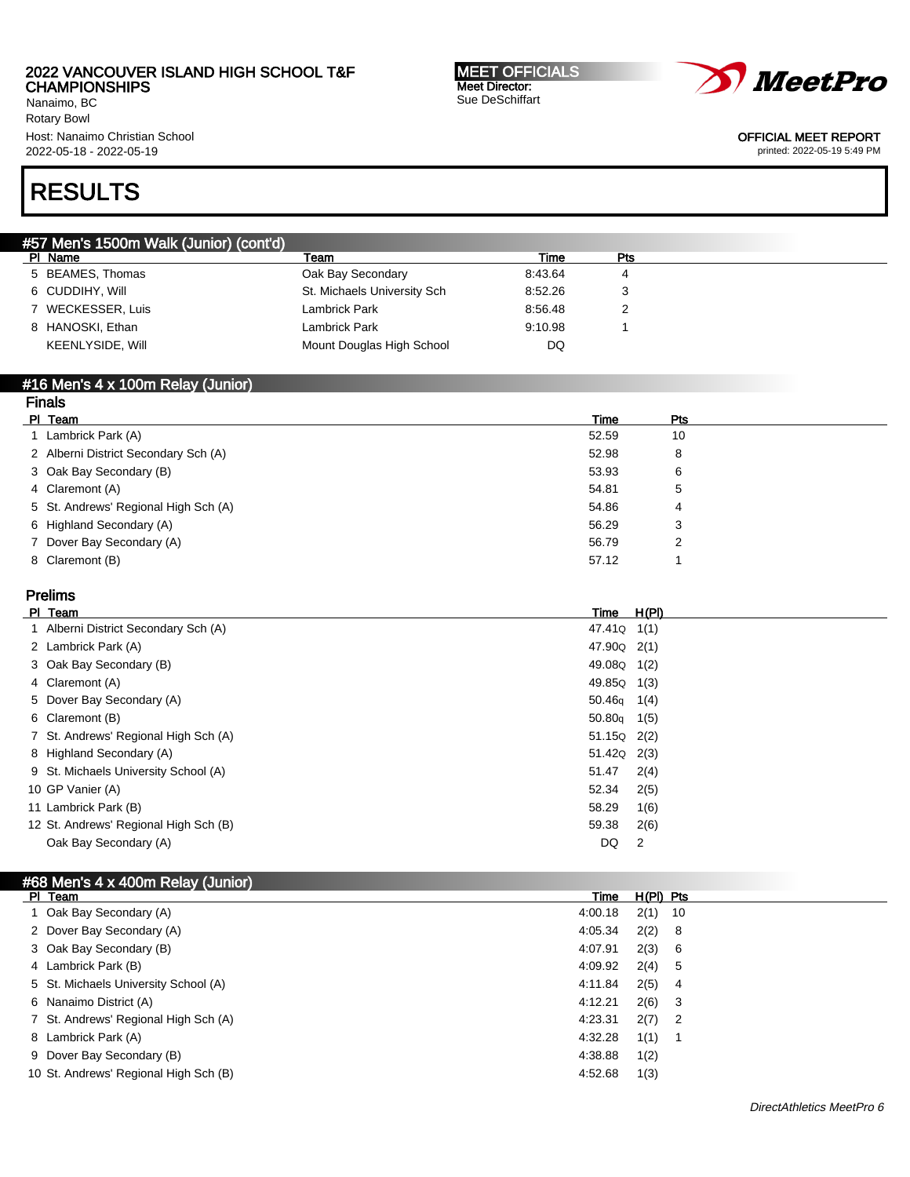Nanaimo, BC Rotary Bowl Host: Nanaimo Christian School 2022-05-18 - 2022-05-19

#### MEET OFFICIALS Meet Director: Sue DeSchiffart



OFFICIAL MEET REPORT

printed: 2022-05-19 5:49 PM

# RESULTS

| #57 Men's 1500m Walk (Junior) (cont'd) |                             |         |     |  |
|----------------------------------------|-----------------------------|---------|-----|--|
| PI Name                                | Team                        | Time    | Pts |  |
| 5 BEAMES, Thomas                       | Oak Bay Secondary           | 8:43.64 |     |  |
| 6 CUDDIHY, Will                        | St. Michaels University Sch | 8:52.26 | 3   |  |
| 7 WECKESSER, Luis                      | Lambrick Park               | 8:56.48 |     |  |
| 8 HANOSKI, Ethan                       | Lambrick Park               | 9:10.98 |     |  |
| KEENLYSIDE, Will                       | Mount Douglas High School   | DQ      |     |  |
|                                        |                             |         |     |  |

#### #16 Men's 4 x 100m Relay (Junior) Finals

| гназ                                 |       |     |  |
|--------------------------------------|-------|-----|--|
| PI Team                              | Time  | Pts |  |
| 1 Lambrick Park (A)                  | 52.59 | 10  |  |
| 2 Alberni District Secondary Sch (A) | 52.98 | 8   |  |
| 3 Oak Bay Secondary (B)              | 53.93 | 6   |  |
| 4 Claremont (A)                      | 54.81 | 5   |  |
| 5 St. Andrews' Regional High Sch (A) | 54.86 | 4   |  |
| 6 Highland Secondary (A)             | 56.29 | 3   |  |
| 7 Dover Bay Secondary (A)            | 56.79 |     |  |
| 8 Claremont (B)                      | 57.12 |     |  |
|                                      |       |     |  |

# Prelims

| <b>PI</b> | Team                                  | Time                    | <u>H(PI)</u> |
|-----------|---------------------------------------|-------------------------|--------------|
|           | 1 Alberni District Secondary Sch (A)  | 47.41Q                  | 1(1)         |
|           | 2 Lambrick Park (A)                   | 47.90 <sub>Q</sub> 2(1) |              |
|           | 3 Oak Bay Secondary (B)               | 49.08Q                  | 1(2)         |
|           | 4 Claremont (A)                       | 49.85Q                  | 1(3)         |
|           | 5 Dover Bay Secondary (A)             | 50.46 <sub>g</sub>      | 1(4)         |
|           | 6 Claremont (B)                       | 50.80q                  | 1(5)         |
|           | 7 St. Andrews' Regional High Sch (A)  | 51.15Q 2(2)             |              |
|           | 8 Highland Secondary (A)              | 51.42Q 2(3)             |              |
|           | 9 St. Michaels University School (A)  | 51.47                   | 2(4)         |
|           | 10 GP Vanier (A)                      | 52.34                   | 2(5)         |
|           | 11 Lambrick Park (B)                  | 58.29                   | 1(6)         |
|           | 12 St. Andrews' Regional High Sch (B) | 59.38                   | 2(6)         |
|           | Oak Bay Secondary (A)                 | DQ                      | 2            |
|           |                                       |                         |              |

| #68 Men's 4 x 400m Relay (Junior)     |         |             |                            |  |
|---------------------------------------|---------|-------------|----------------------------|--|
| PI Team                               | Time    | $H(PI)$ Pts |                            |  |
| 1 Oak Bay Secondary (A)               | 4:00.18 | $2(1)$ 10   |                            |  |
| 2 Dover Bay Secondary (A)             | 4:05.34 | 2(2)        | 8                          |  |
| 3 Oak Bay Secondary (B)               | 4:07.91 | 2(3)        | 6                          |  |
| 4 Lambrick Park (B)                   | 4:09.92 | 2(4)        | -5                         |  |
| 5 St. Michaels University School (A)  | 4:11.84 | 2(5)        | 4                          |  |
| 6 Nanaimo District (A)                | 4:12.21 | 2(6)        | - 3                        |  |
| 7 St. Andrews' Regional High Sch (A)  | 4:23.31 | 2(7)        | $\overline{\phantom{0}}^2$ |  |
| 8 Lambrick Park (A)                   | 4:32.28 | 1(1)        |                            |  |
| 9 Dover Bay Secondary (B)             | 4:38.88 | 1(2)        |                            |  |
| 10 St. Andrews' Regional High Sch (B) | 4:52.68 | 1(3)        |                            |  |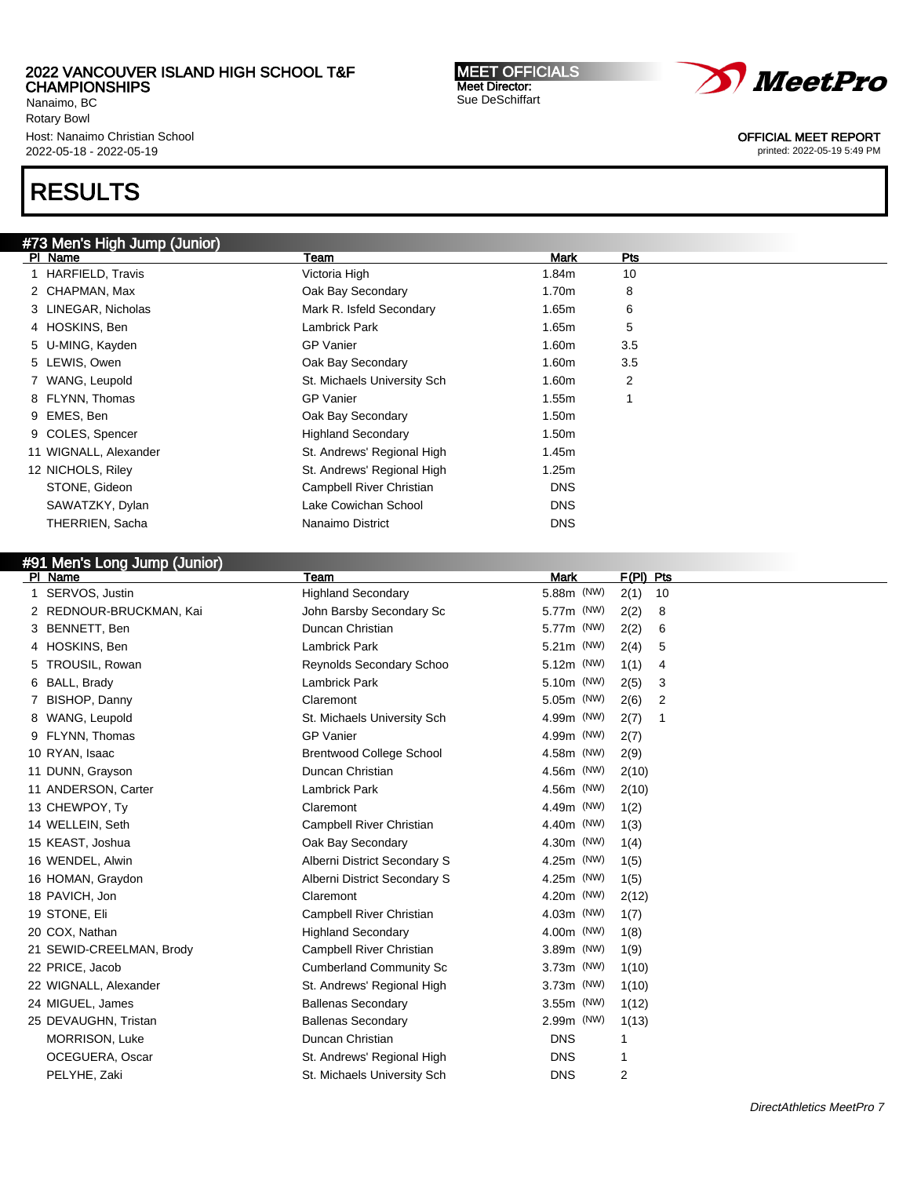Nanaimo, BC Rotary Bowl Host: Nanaimo Christian School 2022-05-18 - 2022-05-19

# RESULTS

# #73 Men's High Jump (Junior)

| PI Name               | Team                        | Mark              | Pts |
|-----------------------|-----------------------------|-------------------|-----|
| 1 HARFIELD, Travis    | Victoria High               | 1.84m             | 10  |
| 2 CHAPMAN, Max        | Oak Bay Secondary           | 1.70m             | 8   |
| 3 LINEGAR, Nicholas   | Mark R. Isfeld Secondary    | 1.65m             | 6   |
| 4 HOSKINS, Ben        | Lambrick Park               | 1.65m             | 5   |
| 5 U-MING, Kayden      | <b>GP Vanier</b>            | 1.60m             | 3.5 |
| 5 LEWIS, Owen         | Oak Bay Secondary           | 1.60m             | 3.5 |
| 7 WANG, Leupold       | St. Michaels University Sch | 1.60m             | 2   |
| 8 FLYNN, Thomas       | <b>GP Vanier</b>            | 1.55m             |     |
| 9 EMES, Ben           | Oak Bay Secondary           | 1.50 <sub>m</sub> |     |
| 9 COLES, Spencer      | <b>Highland Secondary</b>   | 1.50m             |     |
| 11 WIGNALL, Alexander | St. Andrews' Regional High  | 1.45m             |     |
| 12 NICHOLS, Riley     | St. Andrews' Regional High  | 1.25m             |     |
| STONE, Gideon         | Campbell River Christian    | <b>DNS</b>        |     |
| SAWATZKY, Dylan       | Lake Cowichan School        | <b>DNS</b>        |     |
| THERRIEN, Sacha       | Nanaimo District            | <b>DNS</b>        |     |
|                       |                             |                   |     |

## #91 Men's Long Jump (Junior)

| PI Name                  | Team                            | <b>Mark</b> | $F(PI)$ Pts |
|--------------------------|---------------------------------|-------------|-------------|
| 1 SERVOS, Justin         | <b>Highland Secondary</b>       | 5.88m (NW)  | 2(1)<br>10  |
| 2 REDNOUR-BRUCKMAN, Kai  | John Barsby Secondary Sc        | 5.77m (NW)  | 2(2)<br>8   |
| 3 BENNETT, Ben           | Duncan Christian                | 5.77m (NW)  | 2(2)<br>6   |
| 4 HOSKINS, Ben           | <b>Lambrick Park</b>            | 5.21m (NW)  | 2(4)<br>5   |
| 5 TROUSIL, Rowan         | Reynolds Secondary Schoo        | 5.12m (NW)  | 1(1)<br>4   |
| 6 BALL, Brady            | <b>Lambrick Park</b>            | 5.10m (NW)  | 2(5)<br>3   |
| 7 BISHOP, Danny          | Claremont                       | 5.05m (NW)  | 2(6)<br>2   |
| 8 WANG, Leupold          | St. Michaels University Sch     | 4.99m (NW)  | 2(7)<br>-1  |
| 9 FLYNN, Thomas          | <b>GP Vanier</b>                | 4.99m (NW)  | 2(7)        |
| 10 RYAN, Isaac           | <b>Brentwood College School</b> | 4.58m (NW)  | 2(9)        |
| 11 DUNN, Grayson         | Duncan Christian                | 4.56m (NW)  | 2(10)       |
| 11 ANDERSON, Carter      | <b>Lambrick Park</b>            | 4.56m (NW)  | 2(10)       |
| 13 CHEWPOY, Ty           | Claremont                       | 4.49m (NW)  | 1(2)        |
| 14 WELLEIN, Seth         | <b>Campbell River Christian</b> | 4.40m (NW)  | 1(3)        |
| 15 KEAST, Joshua         | Oak Bay Secondary               | 4.30m (NW)  | 1(4)        |
| 16 WENDEL, Alwin         | Alberni District Secondary S    | 4.25m (NW)  | 1(5)        |
| 16 HOMAN, Graydon        | Alberni District Secondary S    | 4.25m (NW)  | 1(5)        |
| 18 PAVICH, Jon           | Claremont                       | 4.20m (NW)  | 2(12)       |
| 19 STONE, Eli            | <b>Campbell River Christian</b> | 4.03m (NW)  | 1(7)        |
| 20 COX, Nathan           | <b>Highland Secondary</b>       | 4.00m (NW)  | 1(8)        |
| 21 SEWID-CREELMAN, Brody | Campbell River Christian        | 3.89m (NW)  | 1(9)        |
| 22 PRICE, Jacob          | <b>Cumberland Community Sc</b>  | 3.73m (NW)  | 1(10)       |
| 22 WIGNALL, Alexander    | St. Andrews' Regional High      | 3.73m (NW)  | 1(10)       |
| 24 MIGUEL, James         | <b>Ballenas Secondary</b>       | 3.55m (NW)  | 1(12)       |
| 25 DEVAUGHN, Tristan     | <b>Ballenas Secondary</b>       | 2.99m (NW)  | 1(13)       |
| <b>MORRISON, Luke</b>    | Duncan Christian                | <b>DNS</b>  |             |
| OCEGUERA, Oscar          | St. Andrews' Regional High      | <b>DNS</b>  | 1           |
| PELYHE, Zaki             | St. Michaels University Sch     | <b>DNS</b>  | 2           |





OFFICIAL MEET REPORT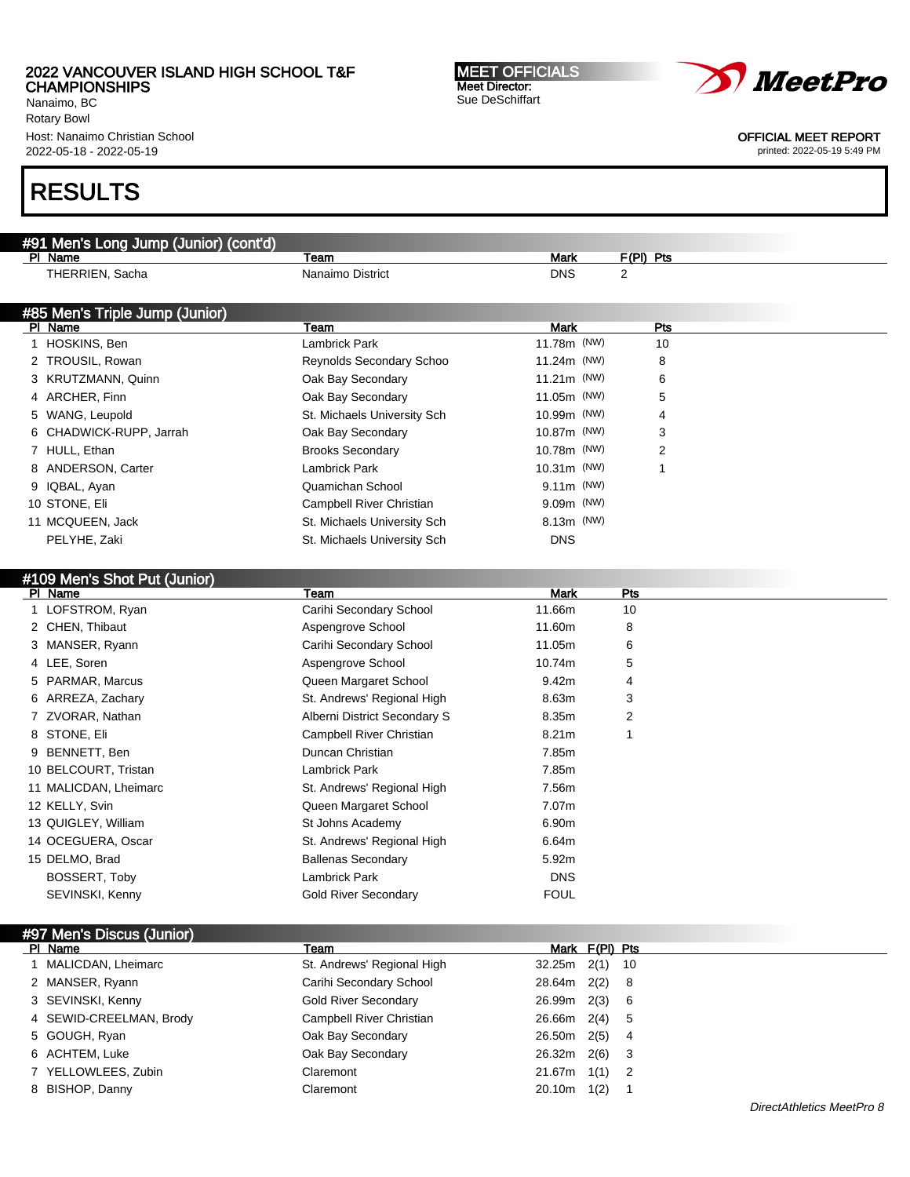Nanaimo, BC Rotary Bowl Host: Nanaimo Christian School 2022-05-18 - 2022-05-19

#91 Men's Long Jump (Junior) (cont'd)

# RESULTS

| PI Name                        | Team                         | <b>Mark</b>       | <u>F(PI) Pts</u> |  |
|--------------------------------|------------------------------|-------------------|------------------|--|
| THERRIEN, Sacha                | Nanaimo District             | <b>DNS</b>        | $\overline{2}$   |  |
|                                |                              |                   |                  |  |
| #85 Men's Triple Jump (Junior) |                              |                   |                  |  |
| PI Name                        | Team                         | <b>Mark</b>       | Pts              |  |
| 1 HOSKINS, Ben                 | Lambrick Park                | 11.78m (NW)       | 10               |  |
| 2 TROUSIL, Rowan               | Reynolds Secondary Schoo     | 11.24m (NW)       | 8                |  |
| 3 KRUTZMANN, Quinn             | Oak Bay Secondary            | 11.21m (NW)       | 6                |  |
| 4 ARCHER, Finn                 | Oak Bay Secondary            | 11.05m (NW)       | 5                |  |
| 5 WANG, Leupold                | St. Michaels University Sch  | 10.99m (NW)       | 4                |  |
| 6 CHADWICK-RUPP, Jarrah        | Oak Bay Secondary            | 10.87m (NW)       | 3                |  |
| 7 HULL, Ethan                  | <b>Brooks Secondary</b>      | 10.78m (NW)       | $\overline{2}$   |  |
| 8 ANDERSON, Carter             | <b>Lambrick Park</b>         | 10.31m (NW)       | 1                |  |
| 9 IQBAL, Ayan                  | Quamichan School             | $9.11m$ (NW)      |                  |  |
| 10 STONE, Eli                  | Campbell River Christian     | 9.09m (NW)        |                  |  |
| 11 MCQUEEN, Jack               | St. Michaels University Sch  | 8.13m (NW)        |                  |  |
| PELYHE, Zaki                   | St. Michaels University Sch  | <b>DNS</b>        |                  |  |
|                                |                              |                   |                  |  |
| #109 Men's Shot Put (Junior)   |                              |                   |                  |  |
| PI Name                        | Team                         | <b>Mark</b>       | Pts              |  |
| 1 LOFSTROM, Ryan               | Carihi Secondary School      | 11.66m            | 10               |  |
| 2 CHEN, Thibaut                | Aspengrove School            | 11.60m            | 8                |  |
| 3 MANSER, Ryann                | Carihi Secondary School      | 11.05m            | 6                |  |
| 4 LEE, Soren                   | Aspengrove School            | 10.74m            | 5                |  |
| 5 PARMAR, Marcus               | Queen Margaret School        | 9.42m             | 4                |  |
| 6 ARREZA, Zachary              | St. Andrews' Regional High   | 8.63m             | 3                |  |
| 7 ZVORAR, Nathan               | Alberni District Secondary S | 8.35m             | 2                |  |
| 8 STONE, Eli                   | Campbell River Christian     | 8.21 <sub>m</sub> | 1                |  |
| 9 BENNETT, Ben                 | Duncan Christian             | 7.85m             |                  |  |
| 10 BELCOURT, Tristan           | Lambrick Park                | 7.85m             |                  |  |
| 11 MALICDAN, Lheimarc          | St. Andrews' Regional High   | 7.56m             |                  |  |
| 12 KELLY, Svin                 | Queen Margaret School        | 7.07m             |                  |  |
| 13 QUIGLEY, William            | St Johns Academy             | 6.90m             |                  |  |
| 14 OCEGUERA, Oscar             | St. Andrews' Regional High   | 6.64m             |                  |  |
| 15 DELMO, Brad                 | <b>Ballenas Secondary</b>    | 5.92m             |                  |  |
| BOSSERT, Toby                  | <b>Lambrick Park</b>         | <b>DNS</b>        |                  |  |
| SEVINSKI, Kenny                | <b>Gold River Secondary</b>  | <b>FOUL</b>       |                  |  |
|                                |                              |                   |                  |  |
| #97 Men's Discus (Junior)      |                              |                   |                  |  |
| PI Name                        | Team                         | Mark F(PI) Pts    |                  |  |
| 1 MALICDAN, Lheimarc           | St. Andrews' Regional High   | 32.25m<br>2(1)    | 10               |  |
| 2 MANSER, Ryann                | Carihi Secondary School      | 28.64m<br>2(2)    | 8                |  |
| 3 SEVINSKI, Kenny              | <b>Gold River Secondary</b>  | 26.99m<br>2(3)    | 6                |  |
| 4 SEWID-CREELMAN, Brody        | Campbell River Christian     | 26.66m<br>2(4)    | 5                |  |
| 5 GOUGH, Ryan                  | Oak Bay Secondary            | 26.50m<br>2(5)    | 4                |  |
| 6 ACHTEM, Luke                 | Oak Bay Secondary            | 26.32m<br>2(6)    | 3                |  |
| 7 YELLOWLEES, Zubin            | Claremont                    | 21.67m<br>1(1)    | 2                |  |
| 8 BISHOP, Danny                | Claremont                    | $20.10m$ 1(2)     | $\overline{1}$   |  |
|                                |                              |                   |                  |  |

MEET OFFICIALS Meet Director: Sue DeSchiffart



OFFICIAL MEET REPORT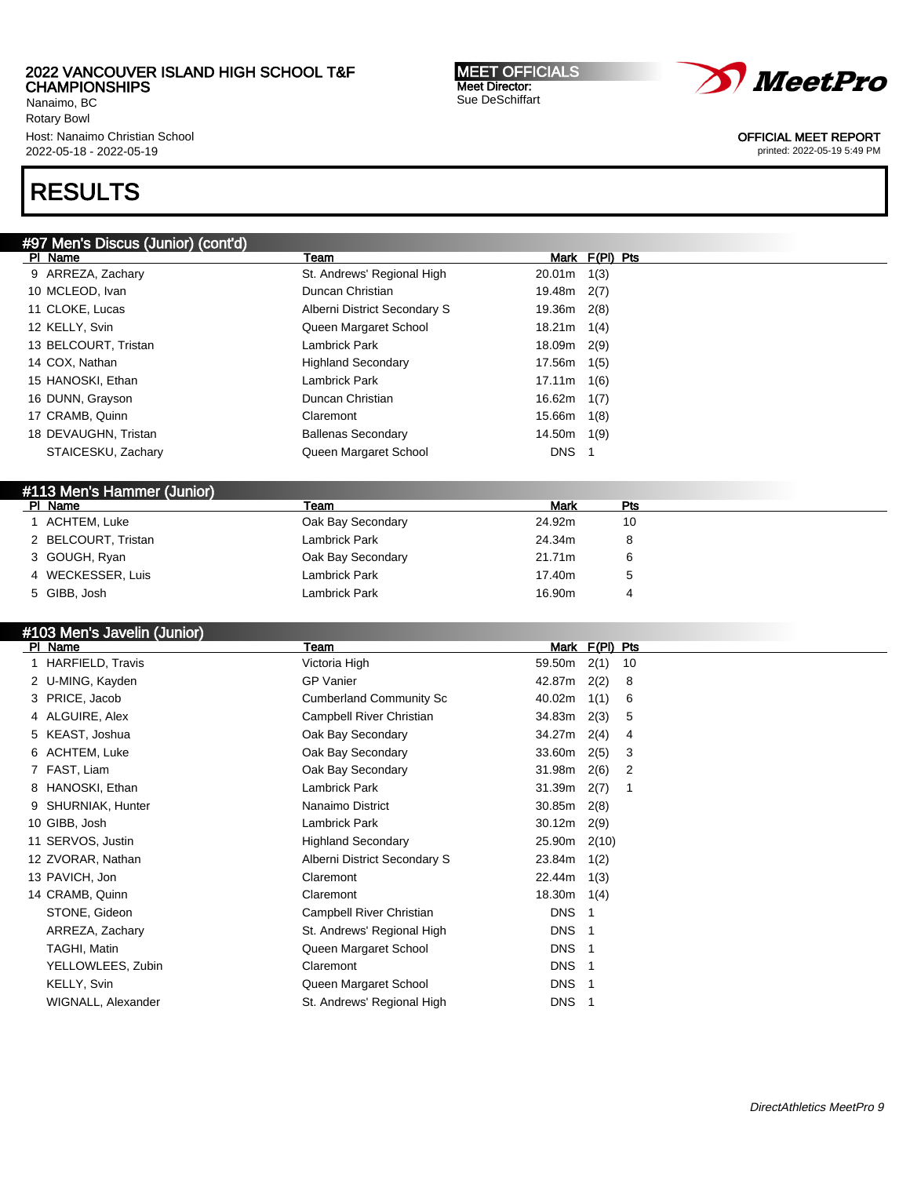Nanaimo, BC Rotary Bowl Host: Nanaimo Christian School 2022-05-18 - 2022-05-19

#97 Men's Discus (Junior) (cont'd)

# RESULTS

| PI Name                     | Team                           | Mark F(PI) Pts                           |  |
|-----------------------------|--------------------------------|------------------------------------------|--|
| 9 ARREZA, Zachary           | St. Andrews' Regional High     | 20.01m<br>1(3)                           |  |
| 10 MCLEOD, Ivan             | Duncan Christian               | 19.48m<br>2(7)                           |  |
| 11 CLOKE, Lucas             | Alberni District Secondary S   | 19.36m 2(8)                              |  |
| 12 KELLY, Svin              | Queen Margaret School          | $18.21m$ 1(4)                            |  |
| 13 BELCOURT, Tristan        | Lambrick Park                  | 18.09m 2(9)                              |  |
| 14 COX, Nathan              | <b>Highland Secondary</b>      | 17.56m 1(5)                              |  |
| 15 HANOSKI, Ethan           | <b>Lambrick Park</b>           | $17.11m$ $1(6)$                          |  |
| 16 DUNN, Grayson            | Duncan Christian               | 16.62 $m$ 1(7)                           |  |
| 17 CRAMB, Quinn             | Claremont                      | 15.66m 1(8)                              |  |
| 18 DEVAUGHN, Tristan        | <b>Ballenas Secondary</b>      | $14.50m$ 1(9)                            |  |
| STAICESKU, Zachary          | Queen Margaret School          | DNS <sub>1</sub>                         |  |
|                             |                                |                                          |  |
| #113 Men's Hammer (Junior)  |                                |                                          |  |
| PI Name                     | Team                           | <b>Mark</b><br>Pts                       |  |
| 1 ACHTEM, Luke              | Oak Bay Secondary              | 24.92m<br>10                             |  |
| 2 BELCOURT, Tristan         | <b>Lambrick Park</b>           | 24.34m<br>8                              |  |
| 3 GOUGH, Ryan               | Oak Bay Secondary              | 21.71m<br>6                              |  |
| 4 WECKESSER, Luis           | <b>Lambrick Park</b>           | 5<br>17.40m                              |  |
| 5 GIBB, Josh                | <b>Lambrick Park</b>           | 16.90m<br>4                              |  |
|                             |                                |                                          |  |
| #103 Men's Javelin (Junior) |                                |                                          |  |
| PI Name                     | Team                           | Mark F(PI) Pts                           |  |
| 1 HARFIELD, Travis          | Victoria High                  | 59.50m 2(1)<br>10                        |  |
| 2 U-MING, Kayden            | <b>GP Vanier</b>               | 42.87m 2(2)<br>8                         |  |
| 3 PRICE, Jacob              | <b>Cumberland Community Sc</b> | $40.02m$ 1(1)<br>6                       |  |
| 4 ALGUIRE, Alex             | Campbell River Christian       | 34.83m 2(3)<br>5                         |  |
| 5 KEAST, Joshua             | Oak Bay Secondary              | 34.27m 2(4)<br>4                         |  |
| 6 ACHTEM, Luke              | Oak Bay Secondary              | $33.60m$ 2(5)<br>3                       |  |
| 7 FAST, Liam                | Oak Bay Secondary              | $31.98m$ 2(6)<br>$\overline{2}$          |  |
|                             |                                |                                          |  |
| 8 HANOSKI, Ethan            | <b>Lambrick Park</b>           | $31.39m$ 2(7)<br>$\mathbf{1}$            |  |
| 9 SHURNIAK, Hunter          | Nanaimo District               | 30.85m<br>2(8)                           |  |
| 10 GIBB, Josh               | <b>Lambrick Park</b>           | $30.12m$ 2(9)                            |  |
| 11 SERVOS, Justin           | <b>Highland Secondary</b>      | 25.90m 2(10)                             |  |
| 12 ZVORAR, Nathan           | Alberni District Secondary S   | 23.84m 1(2)                              |  |
| 13 PAVICH, Jon              | Claremont                      | 22.44m 1(3)                              |  |
| 14 CRAMB, Quinn             | Claremont                      | $18.30m$ $1(4)$                          |  |
| STONE, Gideon               | Campbell River Christian       | <b>DNS</b><br>$\overline{\phantom{1}}$   |  |
| ARREZA, Zachary             | St. Andrews' Regional High     | <b>DNS</b><br>$\overline{1}$             |  |
| <b>TAGHI, Matin</b>         | Queen Margaret School          | <b>DNS</b><br>$\overline{1}$             |  |
| YELLOWLEES, Zubin           | Claremont                      | <b>DNS</b><br>$\overline{\phantom{0}}$ 1 |  |
| KELLY, Svin                 | Queen Margaret School          | <b>DNS</b><br>-1                         |  |



Meet Director: Sue DeSchiffart



OFFICIAL MEET REPORT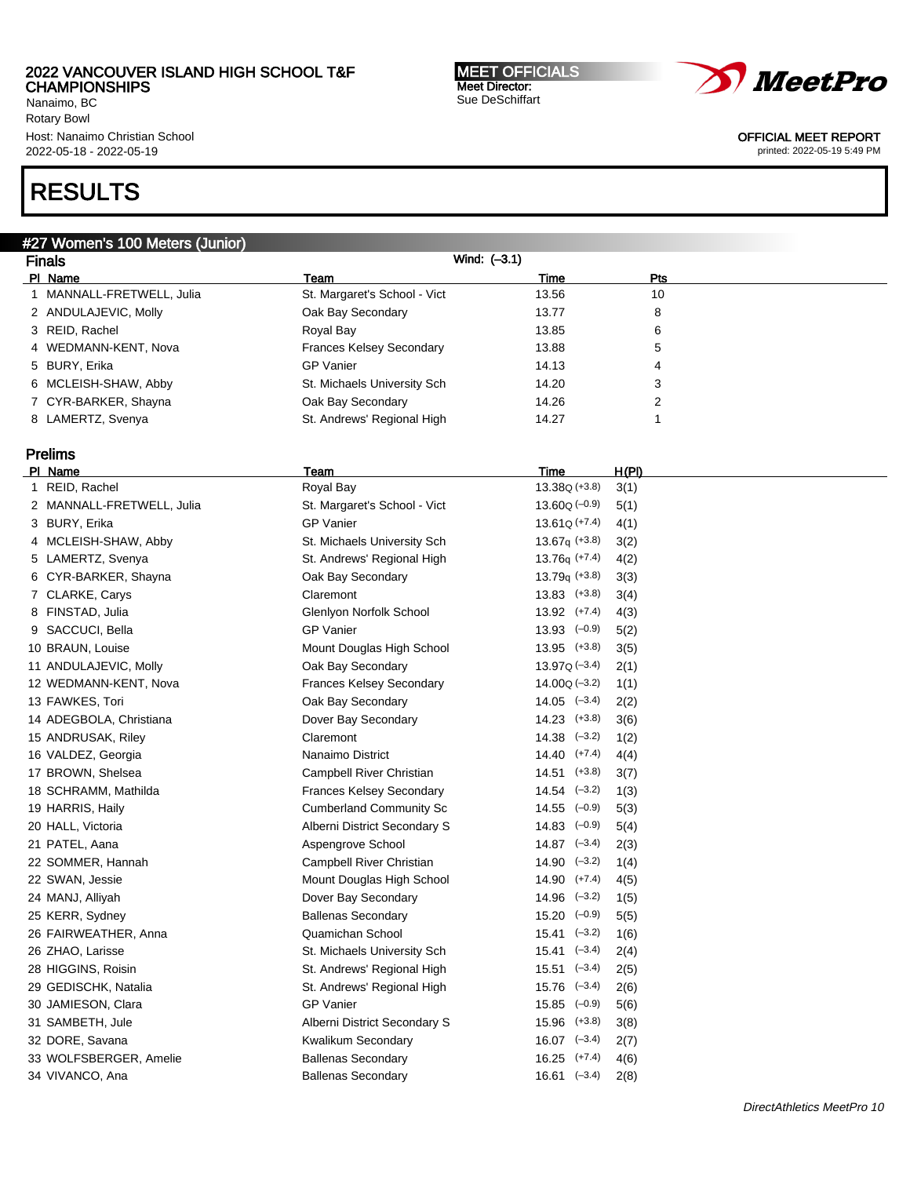Nanaimo, BC Rotary Bowl Host: Nanaimo Christian School 2022-05-18 - 2022-05-19

# RESULTS

# #27 Women's 100 Meters (Junior)

| Wind: $(-3.1)$<br><b>Finals</b> |                                 |       |     |  |
|---------------------------------|---------------------------------|-------|-----|--|
| PI Name                         | Team                            | Time  | Pts |  |
| 1 MANNALL-FRETWELL, Julia       | St. Margaret's School - Vict    | 13.56 | 10  |  |
| 2 ANDULAJEVIC, Molly            | Oak Bay Secondary               | 13.77 | 8   |  |
| 3 REID, Rachel                  | Royal Bay                       | 13.85 | 6   |  |
| 4 WEDMANN-KENT, Nova            | <b>Frances Kelsey Secondary</b> | 13.88 | 5   |  |
| 5 BURY, Erika                   | <b>GP Vanier</b>                | 14.13 | 4   |  |
| 6 MCLEISH-SHAW, Abby            | St. Michaels University Sch     | 14.20 | 3   |  |
| 7 CYR-BARKER, Shayna            | Oak Bay Secondary               | 14.26 | າ   |  |
| 8 LAMERTZ, Svenya               | St. Andrews' Regional High      | 14.27 |     |  |

# Prelims<br>PL Name

| PI Name                   | Team                            | Time                        | <u>H(PI)</u> |
|---------------------------|---------------------------------|-----------------------------|--------------|
| 1 REID, Rachel            | Royal Bay                       | $13.38Q (+3.8)$             | 3(1)         |
| 2 MANNALL-FRETWELL, Julia | St. Margaret's School - Vict    | $13.60Q (-0.9)$             | 5(1)         |
| 3 BURY, Erika             | <b>GP Vanier</b>                | $13.61Q (+7.4)$             | 4(1)         |
| 4 MCLEISH-SHAW, Abby      | St. Michaels University Sch     | $13.67q$ (+3.8)             | 3(2)         |
| 5 LAMERTZ, Svenya         | St. Andrews' Regional High      | $13.76q (+7.4)$             | 4(2)         |
| 6 CYR-BARKER, Shayna      | Oak Bay Secondary               | $13.79q (+3.8)$             | 3(3)         |
| 7 CLARKE, Carys           | Claremont                       | $13.83$ $(+3.8)$            | 3(4)         |
| 8 FINSTAD, Julia          | Glenlyon Norfolk School         | $13.92$ $(+7.4)$            | 4(3)         |
| 9 SACCUCI, Bella          | <b>GP Vanier</b>                | $13.93$ $(-0.9)$            | 5(2)         |
| 10 BRAUN, Louise          | Mount Douglas High School       | $13.95$ $(+3.8)$            | 3(5)         |
| 11 ANDULAJEVIC, Molly     | Oak Bay Secondary               | $13.97Q (-3.4)$             | 2(1)         |
| 12 WEDMANN-KENT, Nova     | <b>Frances Kelsey Secondary</b> | $14.00Q(-3.2)$              | 1(1)         |
| 13 FAWKES, Tori           | Oak Bay Secondary               | $14.05$ $(-3.4)$            | 2(2)         |
| 14 ADEGBOLA, Christiana   | Dover Bay Secondary             | $14.23$ $(+3.8)$            | 3(6)         |
| 15 ANDRUSAK, Riley        | Claremont                       | $14.38$ $(-3.2)$            | 1(2)         |
| 16 VALDEZ, Georgia        | Nanaimo District                | $14.40$ $(+7.4)$            | 4(4)         |
| 17 BROWN, Shelsea         | Campbell River Christian        | $14.51$ $(+3.8)$            | 3(7)         |
| 18 SCHRAMM, Mathilda      | Frances Kelsey Secondary        | $14.54$ $(-3.2)$            | 1(3)         |
| 19 HARRIS, Haily          | <b>Cumberland Community Sc</b>  | $14.55 \left( -0.9 \right)$ | 5(3)         |
| 20 HALL, Victoria         | Alberni District Secondary S    | $14.83$ $(-0.9)$            | 5(4)         |
| 21 PATEL, Aana            | Aspengrove School               | $14.87$ $(-3.4)$            | 2(3)         |
| 22 SOMMER, Hannah         | Campbell River Christian        | $14.90 \quad (-3.2)$        | 1(4)         |
| 22 SWAN, Jessie           | Mount Douglas High School       | $14.90$ $(+7.4)$            | 4(5)         |
| 24 MANJ, Alliyah          | Dover Bay Secondary             | $14.96$ $(-3.2)$            | 1(5)         |
| 25 KERR, Sydney           | <b>Ballenas Secondary</b>       | $15.20 \left(-0.9\right)$   | 5(5)         |
| 26 FAIRWEATHER, Anna      | Quamichan School                | $15.41$ $(-3.2)$            | 1(6)         |
| 26 ZHAO, Larisse          | St. Michaels University Sch     | $15.41 \quad (-3.4)$        | 2(4)         |
| 28 HIGGINS, Roisin        | St. Andrews' Regional High      | $15.51$ $(-3.4)$            | 2(5)         |
| 29 GEDISCHK, Natalia      | St. Andrews' Regional High      | $15.76$ $(-3.4)$            | 2(6)         |
| 30 JAMIESON, Clara        | <b>GP Vanier</b>                | $15.85$ $(-0.9)$            | 5(6)         |
| 31 SAMBETH, Jule          | Alberni District Secondary S    | $15.96$ $(+3.8)$            | 3(8)         |
| 32 DORE, Savana           | Kwalikum Secondary              | $16.07$ $(-3.4)$            | 2(7)         |
| 33 WOLFSBERGER, Amelie    | <b>Ballenas Secondary</b>       | $16.25$ $(+7.4)$            | 4(6)         |
| 34 VIVANCO, Ana           | <b>Ballenas Secondary</b>       | $16.61$ $(-3.4)$            | 2(8)         |
|                           |                                 |                             |              |

MEET OFFICIALS Meet Director: Sue DeSchiffart



OFFICIAL MEET REPORT printed: 2022-05-19 5:49 PM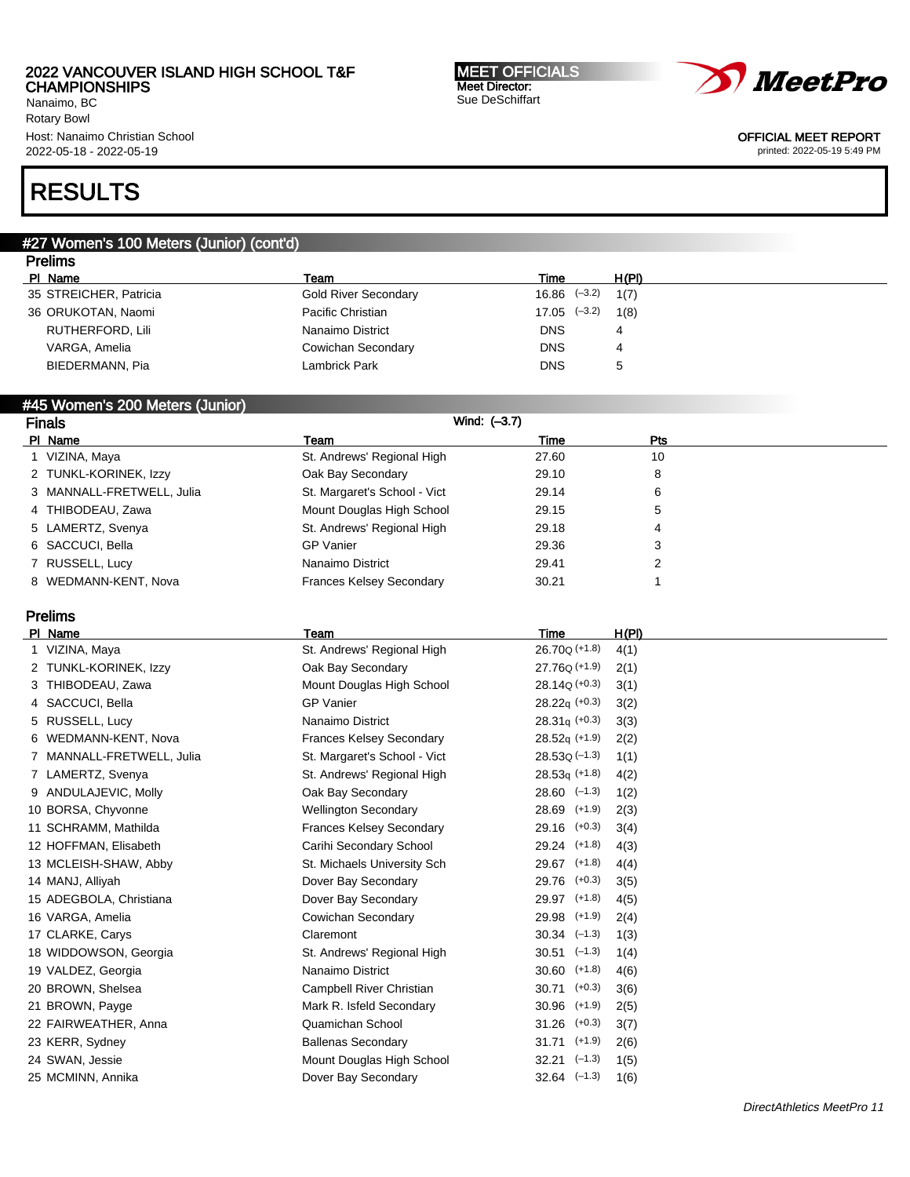Nanaimo, BC Rotary Bowl Host: Nanaimo Christian School 2022-05-18 - 2022-05-19

#### MEET OFFICIALS Meet Director: Sue DeSchiffart



OFFICIAL MEET REPORT

printed: 2022-05-19 5:49 PM

# RESULTS

#### #27 Women's 100 Meters (Junior) (cont'd) Prelims

| Pielins                |                      |                  |              |
|------------------------|----------------------|------------------|--------------|
| PI Name                | Team                 | Time             | H(PI)        |
| 35 STREICHER, Patricia | Gold River Secondary | $16.86$ $(-3.2)$ | 1(7)         |
| 36 ORUKOTAN, Naomi     | Pacific Christian    | $17.05$ $(-3.2)$ | 1(8)         |
| RUTHERFORD, Lili       | Nanaimo District     | <b>DNS</b>       | 4            |
| VARGA, Amelia          | Cowichan Secondary   | <b>DNS</b>       | 4            |
| BIEDERMANN, Pia        | Lambrick Park        | <b>DNS</b>       | $\mathbf{b}$ |
|                        |                      |                  |              |

### #45 Women's 200 Meters (Junior)

| <b>Finals</b>             | Wind: (-3.7)                    |       |     |  |
|---------------------------|---------------------------------|-------|-----|--|
| PI Name                   | Team                            | Time  | Pts |  |
| VIZINA, Maya              | St. Andrews' Regional High      | 27.60 | 10  |  |
| 2 TUNKL-KORINEK, Izzy     | Oak Bay Secondary               | 29.10 | 8   |  |
| 3 MANNALL-FRETWELL, Julia | St. Margaret's School - Vict    | 29.14 | 6   |  |
| 4 THIBODEAU, Zawa         | Mount Douglas High School       | 29.15 | 5   |  |
| 5 LAMERTZ, Svenya         | St. Andrews' Regional High      | 29.18 | 4   |  |
| 6 SACCUCI, Bella          | <b>GP</b> Vanier                | 29.36 | 3   |  |
| 7 RUSSELL, Lucy           | Nanaimo District                | 29.41 | າ   |  |
| 8 WEDMANN-KENT, Nova      | <b>Frances Kelsey Secondary</b> | 30.21 |     |  |

# Prelims

| PI Name                   | Team                            | Time                      | H(PI) |
|---------------------------|---------------------------------|---------------------------|-------|
| 1 VIZINA, Maya            | St. Andrews' Regional High      | 26.70 <sub>Q</sub> (+1.8) | 4(1)  |
| 2 TUNKL-KORINEK, Izzy     | Oak Bay Secondary               | $27.76Q (+1.9)$           | 2(1)  |
| 3 THIBODEAU, Zawa         | Mount Douglas High School       | $28.14Q (+0.3)$           | 3(1)  |
| 4 SACCUCI, Bella          | <b>GP Vanier</b>                | $28.22q (+0.3)$           | 3(2)  |
| 5 RUSSELL, Lucy           | Nanaimo District                | $28.31q$ (+0.3)           | 3(3)  |
| 6 WEDMANN-KENT, Nova      | <b>Frances Kelsey Secondary</b> | $28.52q$ (+1.9)           | 2(2)  |
| 7 MANNALL-FRETWELL, Julia | St. Margaret's School - Vict    | $28.53Q(-1.3)$            | 1(1)  |
| 7 LAMERTZ, Svenya         | St. Andrews' Regional High      | $28.53q$ (+1.8)           | 4(2)  |
| 9 ANDULAJEVIC, Molly      | Oak Bay Secondary               | $28.60$ $(-1.3)$          | 1(2)  |
| 10 BORSA, Chyvonne        | <b>Wellington Secondary</b>     | 28.69 (+1.9)              | 2(3)  |
| 11 SCHRAMM, Mathilda      | <b>Frances Kelsey Secondary</b> | $29.16$ (+0.3)            | 3(4)  |
| 12 HOFFMAN, Elisabeth     | Carihi Secondary School         | 29.24 (+1.8)              | 4(3)  |
| 13 MCLEISH-SHAW, Abby     | St. Michaels University Sch     | $29.67$ (+1.8)            | 4(4)  |
| 14 MANJ, Alliyah          | Dover Bay Secondary             | 29.76 (+0.3)              | 3(5)  |
| 15 ADEGBOLA, Christiana   | Dover Bay Secondary             | 29.97 (+1.8)              | 4(5)  |
| 16 VARGA, Amelia          | Cowichan Secondary              | 29.98 (+1.9)              | 2(4)  |
| 17 CLARKE, Carys          | Claremont                       | $30.34$ $(-1.3)$          | 1(3)  |
| 18 WIDDOWSON, Georgia     | St. Andrews' Regional High      | $30.51$ $(-1.3)$          | 1(4)  |
| 19 VALDEZ, Georgia        | Nanaimo District                | $30.60$ $(+1.8)$          | 4(6)  |
| 20 BROWN, Shelsea         | Campbell River Christian        | $(+0.3)$<br>30.71         | 3(6)  |
| 21 BROWN, Payge           | Mark R. Isfeld Secondary        | $30.96$ (+1.9)            | 2(5)  |
| 22 FAIRWEATHER, Anna      | Quamichan School                | $31.26$ (+0.3)            | 3(7)  |
| 23 KERR, Sydney           | <b>Ballenas Secondary</b>       | $31.71$ (+1.9)            | 2(6)  |
| 24 SWAN, Jessie           | Mount Douglas High School       | $32.21$ $(-1.3)$          | 1(5)  |
| 25 MCMINN, Annika         | Dover Bay Secondary             | $32.64$ $(-1.3)$          | 1(6)  |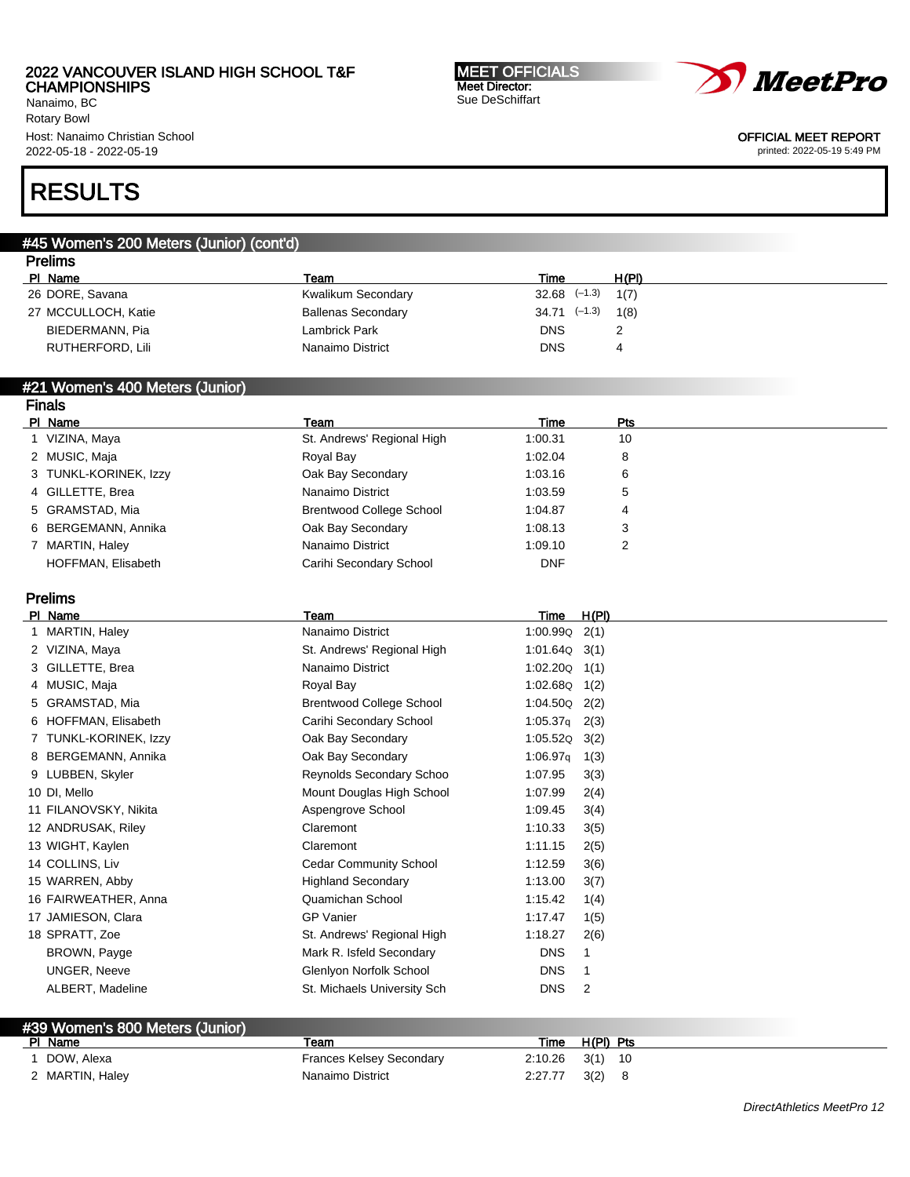Nanaimo, BC Rotary Bowl Host: Nanaimo Christian School 2022-05-18 - 2022-05-19

# RESULTS

#### #45 Women's 200 Meters (Junior) (cont'd) Prelims

| 1711113             |                           |                         |       |
|---------------------|---------------------------|-------------------------|-------|
| PI Name             | Team                      | Time                    | H(PI) |
| 26 DORE, Savana     | Kwalikum Secondary        | $32.68$ $(-1.3)$ $1(7)$ |       |
| 27 MCCULLOCH, Katie | <b>Ballenas Secondary</b> | $34.71$ $(-1.3)$ $1(8)$ |       |
| BIEDERMANN, Pia     | Lambrick Park             | <b>DNS</b>              |       |
| RUTHERFORD, Lili    | Nanaimo District          | <b>DNS</b>              | 4     |
|                     |                           |                         |       |

#### #21 Women's 400 Meters (Junior) Finals

| гнар                  |                                 |            |            |
|-----------------------|---------------------------------|------------|------------|
| PI Name               | Team                            | Time       | <b>Pts</b> |
| VIZINA, Maya          | St. Andrews' Regional High      | 1:00.31    | 10         |
| 2 MUSIC, Maja         | Royal Bay                       | 1:02.04    | 8          |
| 3 TUNKL-KORINEK, Izzy | Oak Bay Secondary               | 1:03.16    | 6          |
| 4 GILLETTE, Brea      | Nanaimo District                | 1:03.59    | 5          |
| 5 GRAMSTAD, Mia       | <b>Brentwood College School</b> | 1:04.87    | 4          |
| 6 BERGEMANN, Annika   | Oak Bay Secondary               | 1:08.13    | 3          |
| 7 MARTIN, Haley       | Nanaimo District                | 1:09.10    | 2          |
| HOFFMAN, Elisabeth    | Carihi Secondary School         | <b>DNF</b> |            |

# Prelims

| PI.<br>Name           | Team                            | H(PI)<br>Time                |
|-----------------------|---------------------------------|------------------------------|
| MARTIN, Haley         | Nanaimo District                | 1:00.99Q<br>2(1)             |
| 2 VIZINA, Maya        | St. Andrews' Regional High      | 1:01.64Q<br>3(1)             |
| 3 GILLETTE, Brea      | Nanaimo District                | 1:02.20Q<br>1(1)             |
| 4 MUSIC, Maja         | Royal Bay                       | 1:02.68Q<br>1(2)             |
| 5 GRAMSTAD, Mia       | <b>Brentwood College School</b> | 1:04.50Q<br>2(2)             |
| 6 HOFFMAN, Elisabeth  | Carihi Secondary School         | 1:05.37 <sub>q</sub><br>2(3) |
| 7 TUNKL-KORINEK, Izzy | Oak Bay Secondary               | 1:05.52Q<br>3(2)             |
| 8 BERGEMANN, Annika   | Oak Bay Secondary               | 1:06.97q<br>1(3)             |
| 9 LUBBEN, Skyler      | Reynolds Secondary Schoo        | 1:07.95<br>3(3)              |
| 10 DI, Mello          | Mount Douglas High School       | 1:07.99<br>2(4)              |
| 11 FILANOVSKY, Nikita | Aspengrove School               | 1:09.45<br>3(4)              |
| 12 ANDRUSAK, Riley    | Claremont                       | 1:10.33<br>3(5)              |
| 13 WIGHT, Kaylen      | Claremont                       | 1:11.15<br>2(5)              |
| 14 COLLINS, Liv       | <b>Cedar Community School</b>   | 1:12.59<br>3(6)              |
| 15 WARREN, Abby       | <b>Highland Secondary</b>       | 1:13.00<br>3(7)              |
| 16 FAIRWEATHER, Anna  | Quamichan School                | 1:15.42<br>1(4)              |
| 17 JAMIESON, Clara    | <b>GP Vanier</b>                | 1:17.47<br>1(5)              |
| 18 SPRATT, Zoe        | St. Andrews' Regional High      | 1:18.27<br>2(6)              |
| BROWN, Payge          | Mark R. Isfeld Secondary        | <b>DNS</b>                   |
| <b>UNGER, Neeve</b>   | Glenlyon Norfolk School         | <b>DNS</b><br>1              |
| ALBERT, Madeline      | St. Michaels University Sch     | <b>DNS</b><br>2              |
|                       |                                 |                              |

### #39 Women's 800 Meters (Junior)

| PI Name         | ⊺eam                     | Time    | $H(PI)$ Pts |  |
|-----------------|--------------------------|---------|-------------|--|
| DOW, Alexa      | Frances Kelsey Secondary | 2:10.26 | 3(1)<br>-10 |  |
| 2 MARTIN, Haley | Nanaimo District         | 2:27.77 | 3(2)        |  |

MEET OFFICIALS Meet Director: Sue DeSchiffart



### OFFICIAL MEET REPORT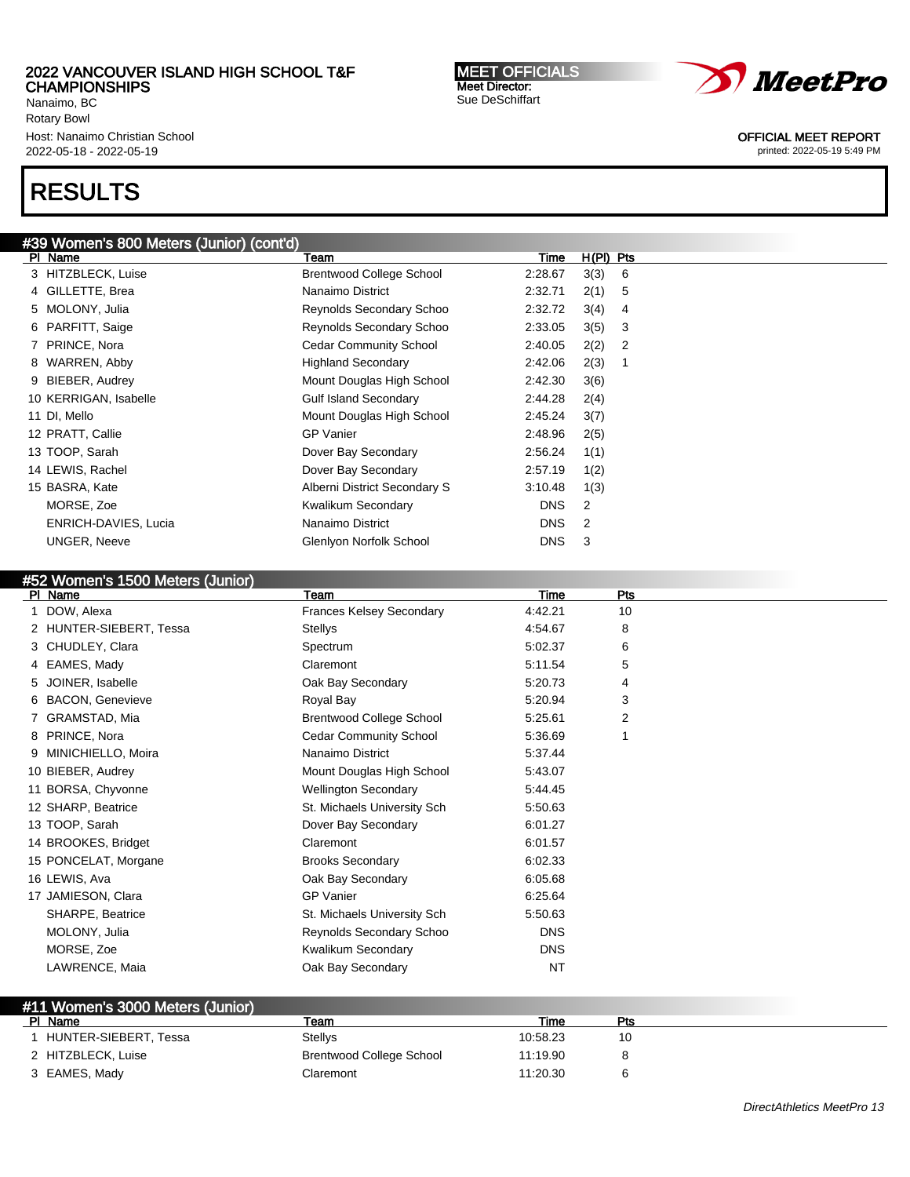Nanaimo, BC Rotary Bowl Host: Nanaimo Christian School 2022-05-18 - 2022-05-19

# RESULTS

| #39 Women's 800 Meters (Junior) (cont'd) |                                 |            |             |  |  |  |
|------------------------------------------|---------------------------------|------------|-------------|--|--|--|
| PI Name                                  | Team                            | Time       | $H(PI)$ Pts |  |  |  |
| 3 HITZBLECK, Luise                       | <b>Brentwood College School</b> | 2:28.67    | 3(3)<br>6   |  |  |  |
| 4 GILLETTE, Brea                         | Nanaimo District                | 2:32.71    | 2(1)<br>5   |  |  |  |
| 5 MOLONY, Julia                          | Reynolds Secondary Schoo        | 2:32.72    | 3(4)<br>4   |  |  |  |
| PARFITT, Saige<br>6                      | Reynolds Secondary Schoo        | 2:33.05    | 3(5)<br>3   |  |  |  |
| 7 PRINCE, Nora                           | <b>Cedar Community School</b>   | 2:40.05    | 2(2)<br>2   |  |  |  |
| 8 WARREN, Abby                           | <b>Highland Secondary</b>       | 2:42.06    | 2(3)<br>1   |  |  |  |
| BIEBER, Audrey<br>9                      | Mount Douglas High School       | 2:42.30    | 3(6)        |  |  |  |
| 10 KERRIGAN, Isabelle                    | <b>Gulf Island Secondary</b>    | 2:44.28    | 2(4)        |  |  |  |
| 11 DI, Mello                             | Mount Douglas High School       | 2:45.24    | 3(7)        |  |  |  |
| 12 PRATT, Callie                         | <b>GP Vanier</b>                | 2:48.96    | 2(5)        |  |  |  |
| 13 TOOP, Sarah                           | Dover Bay Secondary             | 2:56.24    | 1(1)        |  |  |  |
| 14 LEWIS, Rachel                         | Dover Bay Secondary             | 2:57.19    | 1(2)        |  |  |  |
| 15 BASRA, Kate                           | Alberni District Secondary S    | 3:10.48    | 1(3)        |  |  |  |
| MORSE, Zoe                               | Kwalikum Secondary              | DNS.       | 2           |  |  |  |
| ENRICH-DAVIES, Lucia                     | Nanaimo District                | <b>DNS</b> | 2           |  |  |  |
| <b>UNGER, Neeve</b>                      | Glenlyon Norfolk School         | <b>DNS</b> | 3           |  |  |  |

# #52 Women's 1500 Meters (Junior)

| $\sim$ $\sim$ $\sim$ $\sim$ $\sim$ $\sim$ $\sim$ $\sim$<br>PI Name | Team                            | Time       | Pts |
|--------------------------------------------------------------------|---------------------------------|------------|-----|
| DOW, Alexa                                                         | <b>Frances Kelsey Secondary</b> | 4:42.21    | 10  |
| 2 HUNTER-SIEBERT, Tessa                                            | Stellys                         | 4:54.67    | 8   |
| 3 CHUDLEY, Clara                                                   | Spectrum                        | 5:02.37    | 6   |
| 4 EAMES, Mady                                                      | Claremont                       | 5:11.54    | 5   |
| 5 JOINER, Isabelle                                                 | Oak Bay Secondary               | 5:20.73    | 4   |
| 6 BACON, Genevieve                                                 | Royal Bay                       | 5:20.94    | 3   |
| 7 GRAMSTAD, Mia                                                    | <b>Brentwood College School</b> | 5:25.61    | 2   |
| 8 PRINCE, Nora                                                     | <b>Cedar Community School</b>   | 5:36.69    |     |
| 9 MINICHIELLO, Moira                                               | Nanaimo District                | 5:37.44    |     |
| 10 BIEBER, Audrey                                                  | Mount Douglas High School       | 5:43.07    |     |
| 11 BORSA, Chyvonne                                                 | <b>Wellington Secondary</b>     | 5:44.45    |     |
| 12 SHARP, Beatrice                                                 | St. Michaels University Sch     | 5:50.63    |     |
| 13 TOOP, Sarah                                                     | Dover Bay Secondary             | 6:01.27    |     |
| 14 BROOKES, Bridget                                                | Claremont                       | 6:01.57    |     |
| 15 PONCELAT, Morgane                                               | <b>Brooks Secondary</b>         | 6:02.33    |     |
| 16 LEWIS, Ava                                                      | Oak Bay Secondary               | 6:05.68    |     |
| 17 JAMIESON, Clara                                                 | <b>GP Vanier</b>                | 6:25.64    |     |
| SHARPE, Beatrice                                                   | St. Michaels University Sch     | 5:50.63    |     |
| MOLONY, Julia                                                      | Reynolds Secondary Schoo        | <b>DNS</b> |     |
| MORSE, Zoe                                                         | Kwalikum Secondary              | <b>DNS</b> |     |
| LAWRENCE, Maia                                                     | Oak Bay Secondary               | <b>NT</b>  |     |
|                                                                    |                                 |            |     |

### #11 Women's 3000 Meters (Junior) Pl Name Team Time Pts 1 HUNTER-SIEBERT, Tessa Stellys 10:58.23 10:58.23 10 2 HITZBLECK, Luise **Brentwood College School** 11:19.90 8 3 EAMES, Mady Claremont 11:20.30 6

MEET OFFICIALS Meet Director: Sue DeSchiffart



OFFICIAL MEET REPORT

printed: 2022-05-19 5:49 PM

DirectAthletics MeetPro 13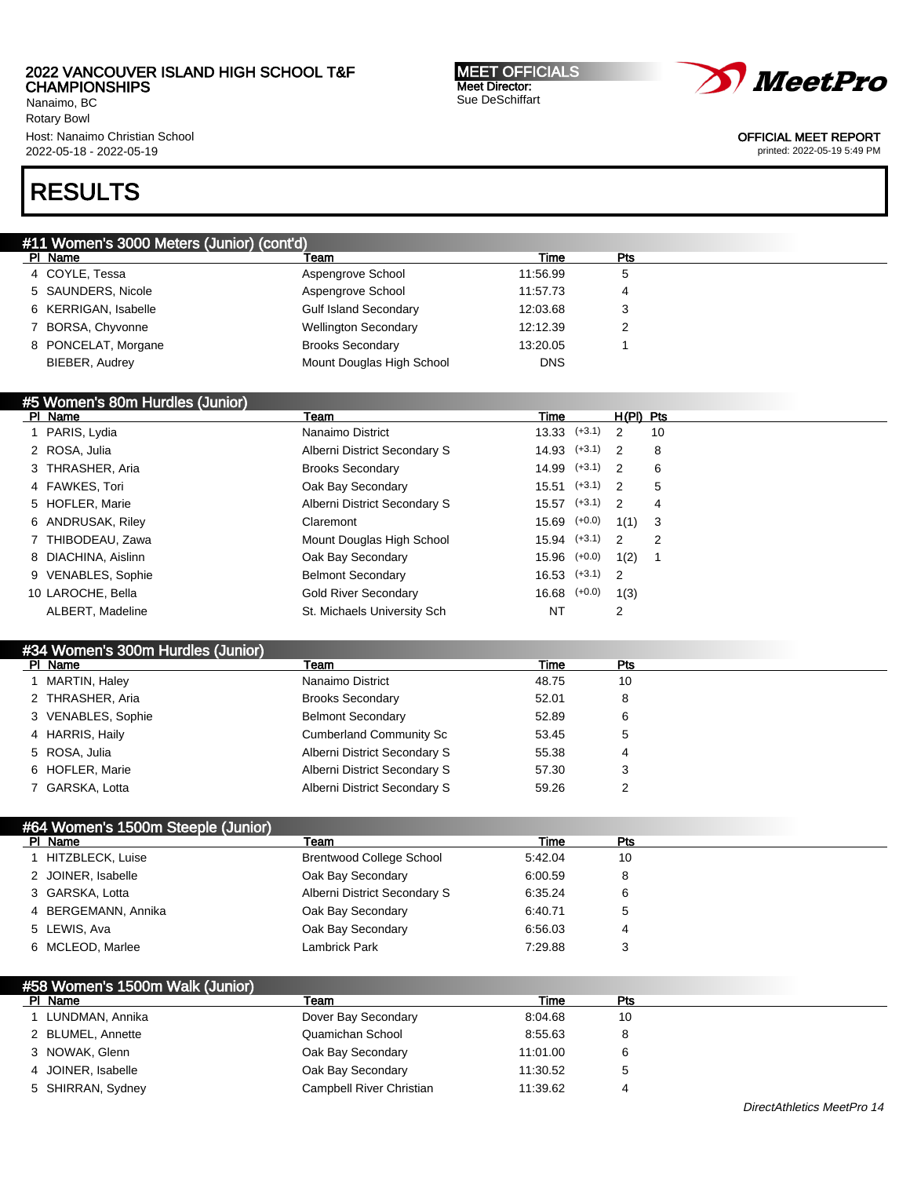Nanaimo, BC Rotary Bowl Host: Nanaimo Christian School 2022-05-18 - 2022-05-19

#### MEET OFFICIALS Meet Director: Sue DeSchiffart



OFFICIAL MEET REPORT

printed: 2022-05-19 5:49 PM

# RESULTS

| #11 Women's 3000 Meters (Junior) (cont'd) |                              |            |     |  |
|-------------------------------------------|------------------------------|------------|-----|--|
| PI Name                                   | Team                         | Time       | Pts |  |
| 4 COYLE, Tessa                            | Aspengrove School            | 11:56.99   | 5   |  |
| 5 SAUNDERS, Nicole                        | Aspengrove School            | 11:57.73   |     |  |
| 6 KERRIGAN, Isabelle                      | <b>Gulf Island Secondary</b> | 12:03.68   | З   |  |
| 7 BORSA, Chyvonne                         | <b>Wellington Secondary</b>  | 12:12.39   |     |  |
| 8 PONCELAT, Morgane                       | <b>Brooks Secondary</b>      | 13:20.05   |     |  |
| BIEBER, Audrey                            | Mount Douglas High School    | <b>DNS</b> |     |  |

### #5 Women's 80m Hurdles (Junior)

|                  | Team                                                                                                                                                                                                            | Time |                                                                                                                                                                                  |                                                                                                                                     |
|------------------|-----------------------------------------------------------------------------------------------------------------------------------------------------------------------------------------------------------------|------|----------------------------------------------------------------------------------------------------------------------------------------------------------------------------------|-------------------------------------------------------------------------------------------------------------------------------------|
|                  | Nanaimo District                                                                                                                                                                                                |      |                                                                                                                                                                                  | 10                                                                                                                                  |
|                  | Alberni District Secondary S                                                                                                                                                                                    |      |                                                                                                                                                                                  | 8                                                                                                                                   |
|                  | <b>Brooks Secondary</b>                                                                                                                                                                                         |      |                                                                                                                                                                                  | 6                                                                                                                                   |
|                  | Oak Bay Secondary                                                                                                                                                                                               |      |                                                                                                                                                                                  | 5                                                                                                                                   |
|                  | Alberni District Secondary S                                                                                                                                                                                    |      |                                                                                                                                                                                  | 4                                                                                                                                   |
|                  | Claremont                                                                                                                                                                                                       |      |                                                                                                                                                                                  |                                                                                                                                     |
|                  | Mount Douglas High School                                                                                                                                                                                       |      |                                                                                                                                                                                  | 2                                                                                                                                   |
|                  | Oak Bay Secondary                                                                                                                                                                                               |      | 1(2)                                                                                                                                                                             |                                                                                                                                     |
|                  | <b>Belmont Secondary</b>                                                                                                                                                                                        |      |                                                                                                                                                                                  |                                                                                                                                     |
|                  | <b>Gold River Secondary</b>                                                                                                                                                                                     |      | 1(3)                                                                                                                                                                             |                                                                                                                                     |
| ALBERT, Madeline | St. Michaels University Sch                                                                                                                                                                                     | NT   | 2                                                                                                                                                                                |                                                                                                                                     |
|                  | PI Name<br>1 PARIS, Lydia<br>2 ROSA, Julia<br>3 THRASHER, Aria<br>4 FAWKES, Tori<br>5 HOFLER, Marie<br>6 ANDRUSAK, Riley<br>7 THIBODEAU, Zawa<br>8 DIACHINA, Aislinn<br>9 VENABLES, Sophie<br>10 LAROCHE, Bella |      | $13.33$ $(+3.1)$<br>$14.93$ $(+3.1)$<br>$15.51$ $(+3.1)$<br>$15.57$ $(+3.1)$<br>$15.69$ $(+0.0)$<br>$15.94$ $(+3.1)$<br>$15.96$ $(+0.0)$<br>$16.53$ $(+3.1)$<br>$16.68$ $(+0.0)$ | $H(PI)$ Pts<br>$\overline{2}$<br>$\overline{2}$<br>$14.99$ $(+3.1)$ 2<br>- 2<br>$\overline{2}$<br>$1(1)$ 3<br>- 2<br>$\overline{2}$ |

# #34 Women's 300m Hurdles (Junior)

| PI Name            | Team                           | Time  | Pts |  |
|--------------------|--------------------------------|-------|-----|--|
| MARTIN, Haley      | Nanaimo District               | 48.75 | 10  |  |
| 2 THRASHER, Aria   | <b>Brooks Secondary</b>        | 52.01 | 8   |  |
| 3 VENABLES, Sophie | <b>Belmont Secondary</b>       | 52.89 | 6   |  |
| 4 HARRIS, Haily    | <b>Cumberland Community Sc</b> | 53.45 | 5   |  |
| 5 ROSA, Julia      | Alberni District Secondary S   | 55.38 | 4   |  |
| 6 HOFLER, Marie    | Alberni District Secondary S   | 57.30 | J   |  |
| 7 GARSKA, Lotta    | Alberni District Secondary S   | 59.26 |     |  |

| #64 Women's 1500m Steeple (Junior) |                                 |         |     |  |
|------------------------------------|---------------------------------|---------|-----|--|
| PI Name                            | Team                            | Time    | Pts |  |
| HITZBLECK, Luise                   | <b>Brentwood College School</b> | 5:42.04 | 10  |  |
| 2 JOINER, Isabelle                 | Oak Bay Secondary               | 6:00.59 | 8   |  |
| 3 GARSKA, Lotta                    | Alberni District Secondary S    | 6:35.24 | 6   |  |
| 4 BERGEMANN, Annika                | Oak Bay Secondary               | 6:40.71 | 5   |  |
| 5 LEWIS, Ava                       | Oak Bay Secondary               | 6:56.03 | 4   |  |
| 6 MCLEOD, Marlee                   | Lambrick Park                   | 7:29.88 |     |  |

| #58 Women's 1500m Walk (Junior) |                          |          |     |  |
|---------------------------------|--------------------------|----------|-----|--|
| PI Name                         | Team                     | Time     | Pts |  |
| LUNDMAN, Annika                 | Dover Bay Secondary      | 8:04.68  | 10  |  |
| 2 BLUMEL, Annette               | Quamichan School         | 8:55.63  | 8   |  |
| 3 NOWAK, Glenn                  | Oak Bay Secondary        | 11:01.00 | 6   |  |
| 4 JOINER, Isabelle              | Oak Bay Secondary        | 11:30.52 | 5   |  |
| 5 SHIRRAN, Sydney               | Campbell River Christian | 11:39.62 | 4   |  |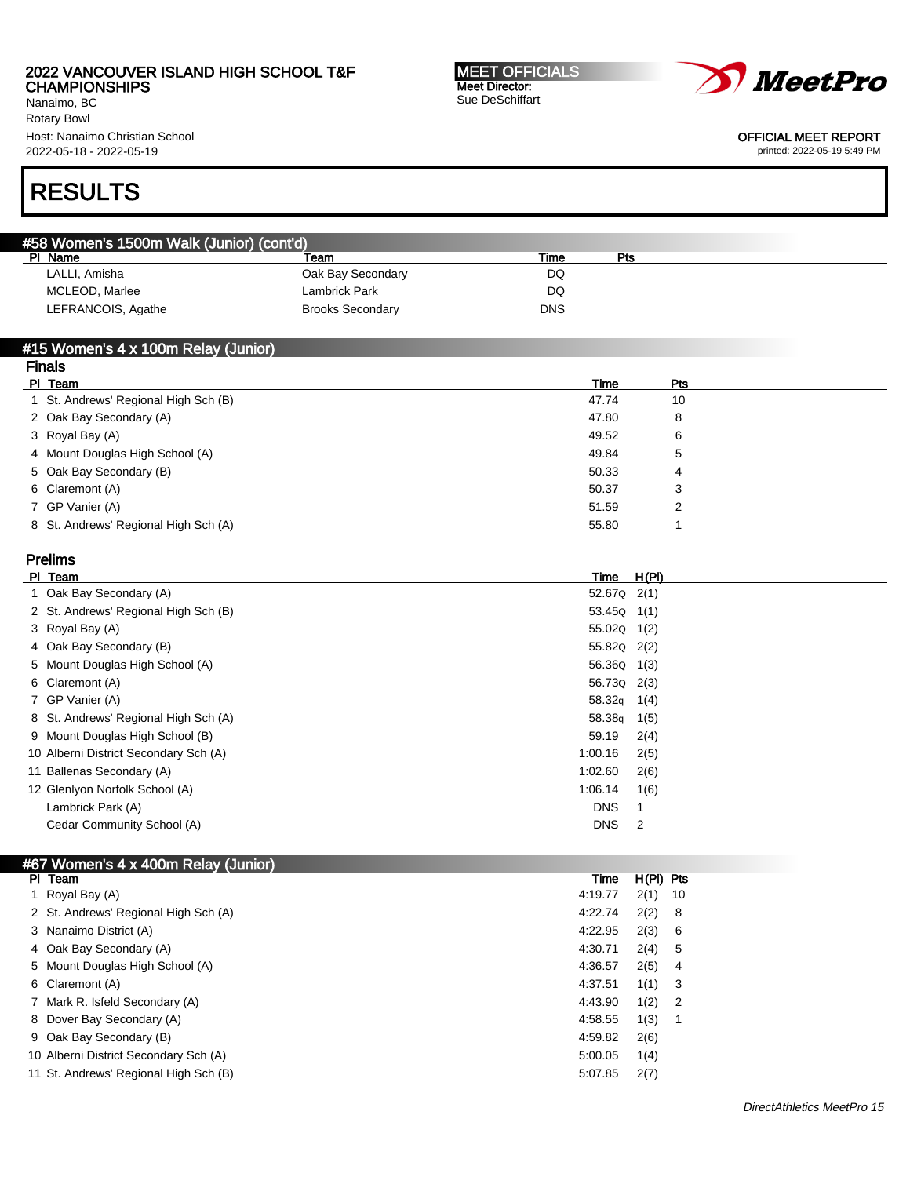Nanaimo, BC Rotary Bowl Host: Nanaimo Christian School 2022-05-18 - 2022-05-19

MEET OFFICIALS Meet Director: Sue DeSchiffart



OFFICIAL MEET REPORT

printed: 2022-05-19 5:49 PM

# RESULTS

| #58 Women's 1500m Walk (Junior) (cont'd) |                         |      |     |  |
|------------------------------------------|-------------------------|------|-----|--|
| PI Name                                  | Team                    | Time | Pts |  |
| LALLI, Amisha                            | Oak Bay Secondary       | DQ   |     |  |
| MCLEOD, Marlee                           | Lambrick Park           | DQ   |     |  |
| LEFRANCOIS, Agathe                       | <b>Brooks Secondary</b> | DNS  |     |  |

### #15 Women's 4 x 100m Relay (Junior)

| <b>Finals</b>                        |       |     |  |
|--------------------------------------|-------|-----|--|
| PI Team                              | Time  | Pts |  |
| 1 St. Andrews' Regional High Sch (B) | 47.74 | 10  |  |
| 2 Oak Bay Secondary (A)              | 47.80 | 8   |  |
| 3 Royal Bay (A)                      | 49.52 | 6   |  |
| 4 Mount Douglas High School (A)      | 49.84 | 5   |  |
| 5 Oak Bay Secondary (B)              | 50.33 | 4   |  |
| 6 Claremont (A)                      | 50.37 | 3   |  |
| 7 GP Vanier (A)                      | 51.59 | 2   |  |
| 8 St. Andrews' Regional High Sch (A) | 55.80 |     |  |
|                                      |       |     |  |

## Prelims

| PI Team                               | Time                | H(PI) |
|---------------------------------------|---------------------|-------|
| 1 Oak Bay Secondary (A)               | 52.67Q 2(1)         |       |
| 2 St. Andrews' Regional High Sch (B)  | $53.45Q \quad 1(1)$ |       |
| 3 Royal Bay (A)                       | 55.02Q 1(2)         |       |
| 4 Oak Bay Secondary (B)               | 55.82Q 2(2)         |       |
| 5 Mount Douglas High School (A)       | 56.36Q              | 1(3)  |
| 6 Claremont (A)                       | 56.73Q 2(3)         |       |
| 7 GP Vanier (A)                       | 58.32q              | 1(4)  |
| 8 St. Andrews' Regional High Sch (A)  | 58.38g              | 1(5)  |
| 9 Mount Douglas High School (B)       | 59.19               | 2(4)  |
| 10 Alberni District Secondary Sch (A) | 1:00.16             | 2(5)  |
| 11 Ballenas Secondary (A)             | 1:02.60             | 2(6)  |
| 12 Glenlyon Norfolk School (A)        | 1:06.14             | 1(6)  |
| Lambrick Park (A)                     | <b>DNS</b>          |       |
| Cedar Community School (A)            | <b>DNS</b>          | 2     |
|                                       |                     |       |

# #67 Women's 4 x 400m Relay (Junior)

| PI Team                               | Time    | $H(PI)$ Pts |                            |
|---------------------------------------|---------|-------------|----------------------------|
| 1 Royal Bay (A)                       | 4:19.77 | $2(1)$ 10   |                            |
| 2 St. Andrews' Regional High Sch (A)  | 4:22.74 | 2(2) 8      |                            |
| 3 Nanaimo District (A)                | 4:22.95 | 2(3) 6      |                            |
| 4 Oak Bay Secondary (A)               | 4:30.71 | 2(4) 5      |                            |
| 5 Mount Douglas High School (A)       | 4:36.57 | $2(5)$ 4    |                            |
| 6 Claremont (A)                       | 4:37.51 | $1(1)$ 3    |                            |
| 7 Mark R. Isfeld Secondary (A)        | 4:43.90 | 1(2)        | $\overline{\phantom{0}}^2$ |
| 8 Dover Bay Secondary (A)             | 4:58.55 | 1(3)        |                            |
| 9 Oak Bay Secondary (B)               | 4:59.82 | 2(6)        |                            |
| 10 Alberni District Secondary Sch (A) | 5:00.05 | 1(4)        |                            |
| 11 St. Andrews' Regional High Sch (B) | 5:07.85 | 2(7)        |                            |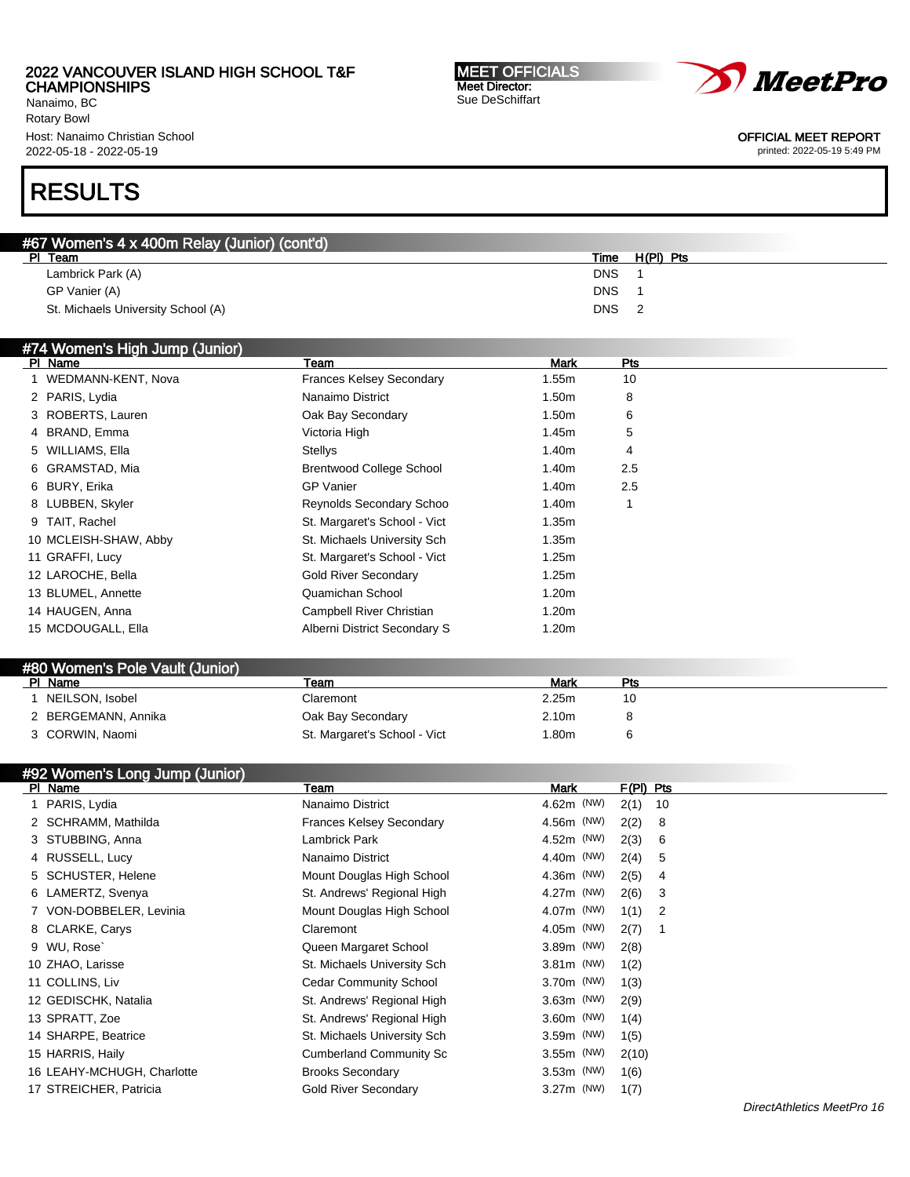Nanaimo, BC Rotary Bowl Host: Nanaimo Christian School 2022-05-18 - 2022-05-19

# RESULTS

| #67 Women's 4 x 400m Relay (Junior) (cont'd) |            |           |
|----------------------------------------------|------------|-----------|
| PI Team                                      | Time       | H(PI) Pts |
| Lambrick Park (A)                            | <b>DNS</b> |           |
| GP Vanier (A)                                | <b>DNS</b> |           |
| St. Michaels University School (A)           | <b>DNS</b> |           |

## #74 Women's High Jump (Junior)

| PI Name               | Team                            | <b>Mark</b>       | Pts |
|-----------------------|---------------------------------|-------------------|-----|
| 1 WEDMANN-KENT, Nova  | <b>Frances Kelsey Secondary</b> | 1.55m             | 10  |
| 2 PARIS, Lydia        | Nanaimo District                | 1.50m             | 8   |
| 3 ROBERTS, Lauren     | Oak Bay Secondary               | 1.50 <sub>m</sub> | 6   |
| 4 BRAND, Emma         | Victoria High                   | 1.45m             | 5   |
| 5 WILLIAMS, Ella      | <b>Stellys</b>                  | 1.40m             | 4   |
| 6 GRAMSTAD, Mia       | <b>Brentwood College School</b> | 1.40m             | 2.5 |
| 6 BURY, Erika         | <b>GP</b> Vanier                | 1.40m             | 2.5 |
| 8 LUBBEN, Skyler      | Reynolds Secondary Schoo        | 1.40m             |     |
| 9 TAIT, Rachel        | St. Margaret's School - Vict    | 1.35m             |     |
| 10 MCLEISH-SHAW, Abby | St. Michaels University Sch     | 1.35m             |     |
| 11 GRAFFI, Lucy       | St. Margaret's School - Vict    | 1.25m             |     |
| 12 LAROCHE, Bella     | <b>Gold River Secondary</b>     | 1.25m             |     |
| 13 BLUMEL, Annette    | Quamichan School                | 1.20 <sub>m</sub> |     |
| 14 HAUGEN, Anna       | Campbell River Christian        | 1.20 <sub>m</sub> |     |
| 15 MCDOUGALL, Ella    | Alberni District Secondary S    | 1.20m             |     |

| #80 Women's Pole Vault (Junior) |                              |       |     |  |
|---------------------------------|------------------------------|-------|-----|--|
| PI Name                         | Team                         | Mark  | Pts |  |
| NEILSON, Isobel                 | Claremont                    | 2.25m | 10  |  |
| 2 BERGEMANN, Annika             | Oak Bay Secondary            | 2.10m |     |  |
| 3 CORWIN, Naomi                 | St. Margaret's School - Vict | .80m  |     |  |

## #92 Women's Long Jump (Junior)

| PI Name                    | Team                            | Mark         | $F(PI)$ Pts |
|----------------------------|---------------------------------|--------------|-------------|
| 1 PARIS, Lydia             | Nanaimo District                | 4.62m (NW)   | 2(1)<br>10  |
| 2 SCHRAMM, Mathilda        | <b>Frances Kelsey Secondary</b> | 4.56m (NW)   | 2(2)<br>8   |
| 3 STUBBING, Anna           | Lambrick Park                   | 4.52m (NW)   | 2(3)<br>6   |
| 4 RUSSELL, Lucy            | Nanaimo District                | 4.40m (NW)   | 2(4)<br>5   |
| 5 SCHUSTER, Helene         | Mount Douglas High School       | 4.36m (NW)   | 2(5)<br>4   |
| 6 LAMERTZ, Svenya          | St. Andrews' Regional High      | 4.27m (NW)   | 2(6)<br>3   |
| 7 VON-DOBBELER, Levinia    | Mount Douglas High School       | 4.07m (NW)   | 1(1)<br>2   |
| 8 CLARKE, Carys            | Claremont                       | 4.05m (NW)   | 2(7)        |
| 9 WU, Rose                 | Queen Margaret School           | 3.89m (NW)   | 2(8)        |
| 10 ZHAO, Larisse           | St. Michaels University Sch     | $3.81m$ (NW) | 1(2)        |
| 11 COLLINS, Liv            | <b>Cedar Community School</b>   | 3.70m (NW)   | 1(3)        |
| 12 GEDISCHK, Natalia       | St. Andrews' Regional High      | $3.63m$ (NW) | 2(9)        |
| 13 SPRATT, Zoe             | St. Andrews' Regional High      | 3.60m (NW)   | 1(4)        |
| 14 SHARPE, Beatrice        | St. Michaels University Sch     | 3.59m (NW)   | 1(5)        |
| 15 HARRIS, Haily           | <b>Cumberland Community Sc</b>  | $3.55m$ (NW) | 2(10)       |
| 16 LEAHY-MCHUGH, Charlotte | <b>Brooks Secondary</b>         | 3.53m (NW)   | 1(6)        |
| 17 STREICHER, Patricia     | <b>Gold River Secondary</b>     | 3.27m (NW)   | 1(7)        |

MEET OFFICIALS Meet Director: Sue DeSchiffart



#### OFFICIAL MEET REPORT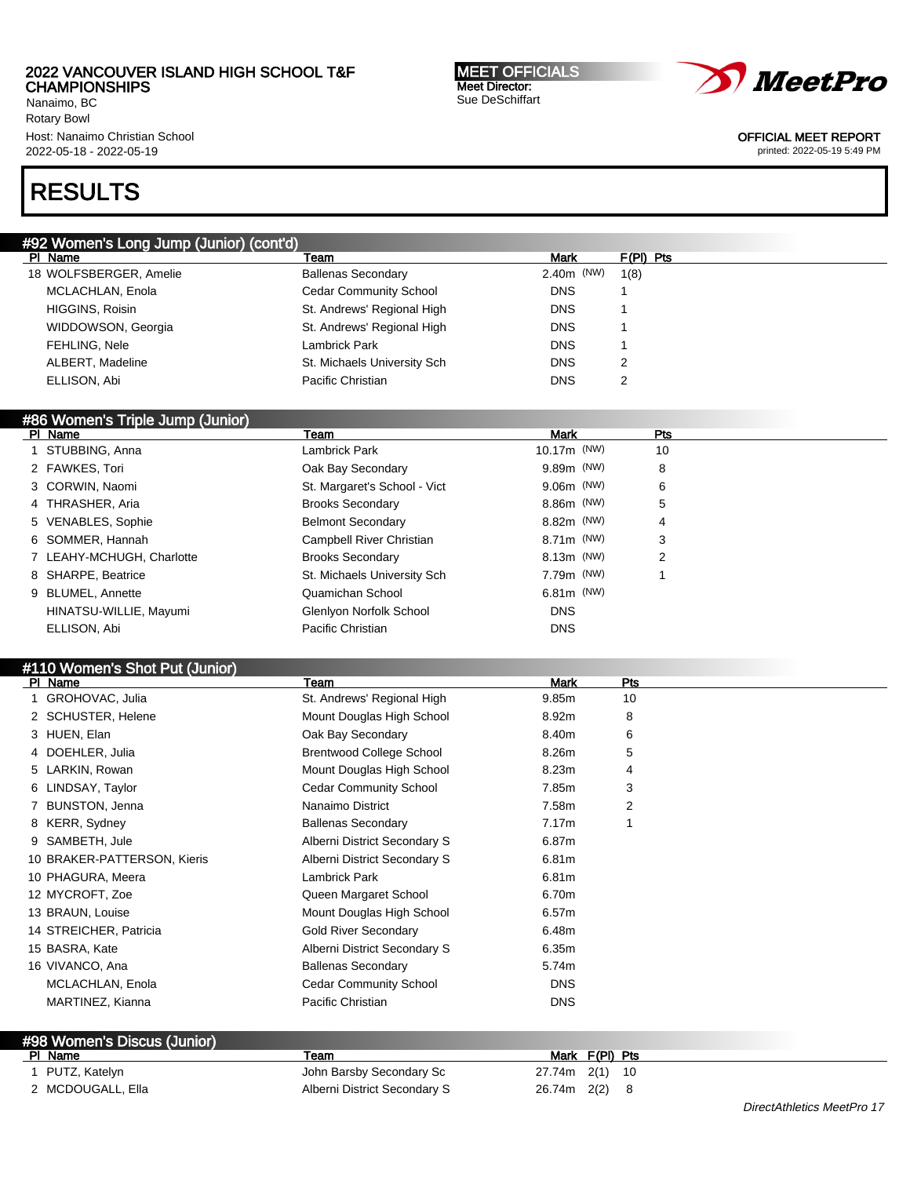#92 Women's Long Jump (Junior) (cont'd)

Nanaimo, BC Rotary Bowl Host: Nanaimo Christian School 2022-05-18 - 2022-05-19

# RESULTS

| MCLACHLAN, Enola                 | <b>Cedar Community School</b>   | <b>DNS</b>     | -1             |            |
|----------------------------------|---------------------------------|----------------|----------------|------------|
| HIGGINS, Roisin                  | St. Andrews' Regional High      | <b>DNS</b>     |                |            |
| WIDDOWSON, Georgia               | St. Andrews' Regional High      | <b>DNS</b>     | 1              |            |
| FEHLING, Nele                    | Lambrick Park                   | <b>DNS</b>     | 1              |            |
| ALBERT, Madeline                 | St. Michaels University Sch     | <b>DNS</b>     | $\overline{2}$ |            |
| ELLISON, Abi                     | Pacific Christian               | <b>DNS</b>     | 2              |            |
|                                  |                                 |                |                |            |
| #86 Women's Triple Jump (Junior) |                                 |                |                |            |
| PI Name                          | Team                            | <b>Mark</b>    |                | <b>Pts</b> |
| 1 STUBBING, Anna                 | <b>Lambrick Park</b>            | 10.17m (NW)    |                | 10         |
| 2 FAWKES, Tori                   | Oak Bay Secondary               | 9.89m (NW)     |                | 8          |
| 3 CORWIN, Naomi                  | St. Margaret's School - Vict    | 9.06m (NW)     |                | 6          |
| 4 THRASHER, Aria                 | <b>Brooks Secondary</b>         | 8.86m (NW)     |                | 5          |
| 5 VENABLES, Sophie               | <b>Belmont Secondary</b>        | 8.82m (NW)     |                | 4          |
| 6 SOMMER, Hannah                 | Campbell River Christian        | 8.71m (NW)     |                | 3          |
| 7 LEAHY-MCHUGH, Charlotte        | <b>Brooks Secondary</b>         | 8.13m (NW)     |                | 2          |
| 8 SHARPE, Beatrice               | St. Michaels University Sch     | 7.79m (NW)     |                | 1          |
| 9 BLUMEL, Annette                | Quamichan School                | $6.81m$ (NW)   |                |            |
| HINATSU-WILLIE, Mayumi           | Glenlyon Norfolk School         | <b>DNS</b>     |                |            |
| ELLISON, Abi                     | Pacific Christian               | <b>DNS</b>     |                |            |
|                                  |                                 |                |                |            |
| #110 Women's Shot Put (Junior)   |                                 |                |                |            |
| PI Name                          | Team                            | Mark           | Pts            |            |
| 1 GROHOVAC, Julia                | St. Andrews' Regional High      | 9.85m          | 10             |            |
| 2 SCHUSTER, Helene               | Mount Douglas High School       | 8.92m          | 8              |            |
| 3 HUEN, Elan                     | Oak Bay Secondary               | 8.40m          | 6              |            |
| 4 DOEHLER, Julia                 | <b>Brentwood College School</b> | 8.26m          | 5              |            |
| 5 LARKIN, Rowan                  | Mount Douglas High School       | 8.23m          | 4              |            |
| 6 LINDSAY, Taylor                | <b>Cedar Community School</b>   | 7.85m          | 3              |            |
| 7 BUNSTON, Jenna                 | Nanaimo District                | 7.58m          | 2              |            |
| 8 KERR, Sydney                   | <b>Ballenas Secondary</b>       | 7.17m          | 1              |            |
| 9 SAMBETH, Jule                  | Alberni District Secondary S    | 6.87m          |                |            |
| 10 BRAKER-PATTERSON, Kieris      | Alberni District Secondary S    | 6.81m          |                |            |
| 10 PHAGURA, Meera                | Lambrick Park                   | 6.81m          |                |            |
| 12 MYCROFT, Zoe                  | Queen Margaret School           | 6.70m          |                |            |
| 13 BRAUN, Louise                 | Mount Douglas High School       | 6.57m          |                |            |
| 14 STREICHER, Patricia           | <b>Gold River Secondary</b>     | 6.48m          |                |            |
| 15 BASRA, Kate                   | Alberni District Secondary S    | 6.35m          |                |            |
| 16 VIVANCO, Ana                  | <b>Ballenas Secondary</b>       | 5.74m          |                |            |
| MCLACHLAN, Enola                 | <b>Cedar Community School</b>   | <b>DNS</b>     |                |            |
| MARTINEZ, Kianna                 | Pacific Christian               | <b>DNS</b>     |                |            |
|                                  |                                 |                |                |            |
| #98 Women's Discus (Junior)      |                                 |                |                |            |
| PI Name                          | Team                            | Mark F(PI) Pts |                |            |
| 1 PUTZ, Katelyn                  | John Barsby Secondary Sc        | 27.74m 2(1)    | - 10           |            |
| 2 MCDOUGALL, Ella                | Alberni District Secondary S    | 26.74m 2(2) 8  |                |            |

Pl Name Team Mark F(Pl) Pts 18 WOLFSBERGER, Amelie Ballenas Secondary 2.40m (NW) 1(8)



OFFICIAL MEET REPORT

printed: 2022-05-19 5:49 PM

MEET OFFICIALS Meet Director: Sue DeSchiffart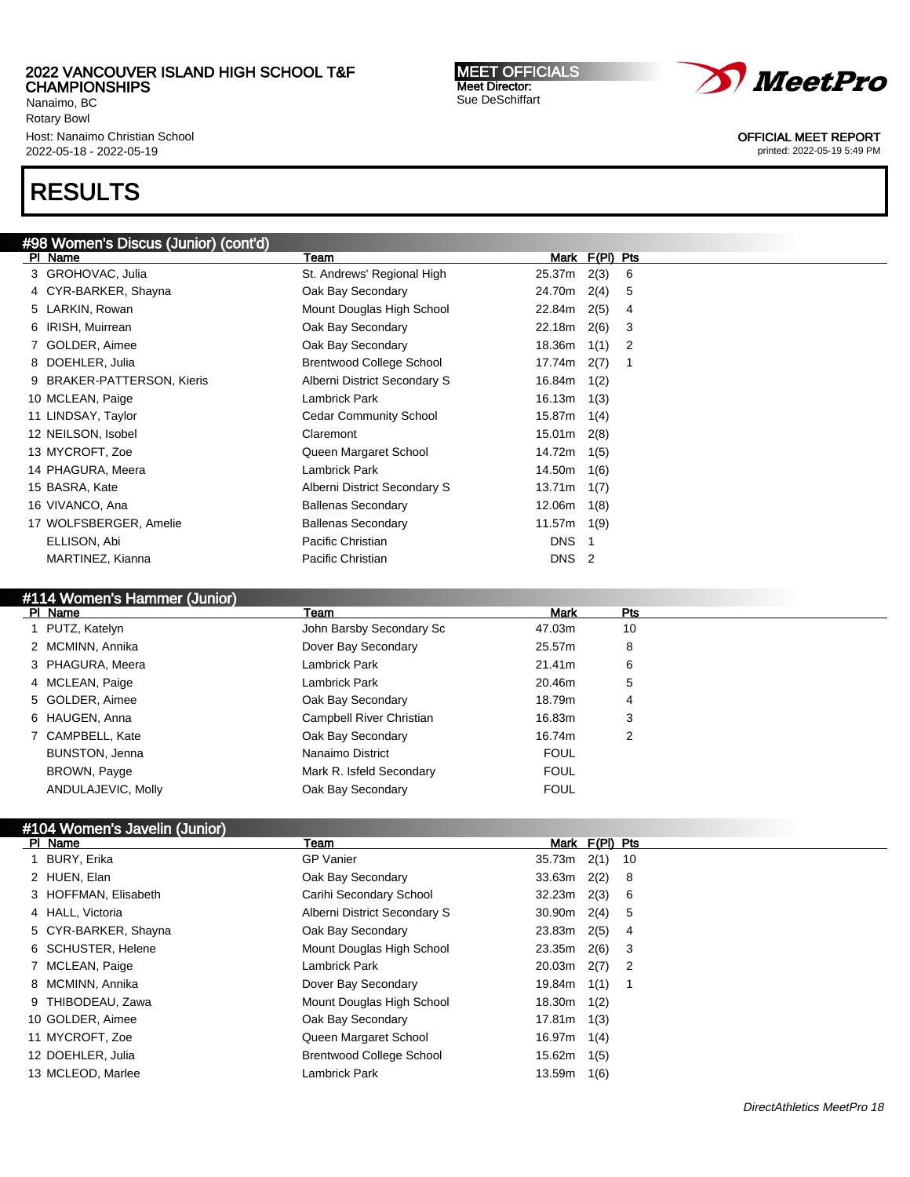Nanaimo, BC Rotary Bowl Host: Nanaimo Christian School 2022-05-18 - 2022-05-19

# RESULTS

## #98 Women's Discus (Junior) (cont'd)

| PI Name                    | Team                            |                  | Mark F(PI) Pts |  |
|----------------------------|---------------------------------|------------------|----------------|--|
| 3 GROHOVAC, Julia          | St. Andrews' Regional High      | 25.37m           | 2(3)<br>6      |  |
| 4 CYR-BARKER, Shayna       | Oak Bay Secondary               | 24.70m           | 2(4)<br>5      |  |
| 5 LARKIN, Rowan            | Mount Douglas High School       | 22.84m           | 2(5)<br>4      |  |
| 6 IRISH, Muirrean          | Oak Bay Secondary               | 22.18m           | 2(6)<br>3      |  |
| 7 GOLDER, Aimee            | Oak Bay Secondary               | 18.36m           | 1(1)<br>2      |  |
| 8 DOEHLER, Julia           | <b>Brentwood College School</b> | 17.74m           | 2(7)<br>-1     |  |
| 9 BRAKER-PATTERSON, Kieris | Alberni District Secondary S    | 16.84m           | 1(2)           |  |
| 10 MCLEAN, Paige           | Lambrick Park                   | 16.13m           | 1(3)           |  |
| 11 LINDSAY, Taylor         | <b>Cedar Community School</b>   | 15.87m           | 1(4)           |  |
| 12 NEILSON, Isobel         | Claremont                       | 15.01m           | 2(8)           |  |
| 13 MYCROFT, Zoe            | Queen Margaret School           | 14.72m           | 1(5)           |  |
| 14 PHAGURA, Meera          | Lambrick Park                   | 14.50m           | 1(6)           |  |
| 15 BASRA, Kate             | Alberni District Secondary S    | 13.71m           | 1(7)           |  |
| 16 VIVANCO, Ana            | <b>Ballenas Secondary</b>       | 12.06m           | 1(8)           |  |
| 17 WOLFSBERGER, Amelie     | <b>Ballenas Secondary</b>       | 11.57m           | 1(9)           |  |
| ELLISON, Abi               | Pacific Christian               | <b>DNS</b>       |                |  |
| MARTINEZ, Kianna           | Pacific Christian               | DNS <sub>2</sub> |                |  |

# #114 Women's Hammer (Junior)

| PI Name               | Team                     | Mark        | Pts |
|-----------------------|--------------------------|-------------|-----|
| 1 PUTZ, Katelyn       | John Barsby Secondary Sc | 47.03m      | 10  |
| 2 MCMINN, Annika      | Dover Bay Secondary      | 25.57m      | 8   |
| 3 PHAGURA, Meera      | Lambrick Park            | 21.41m      | 6   |
| 4 MCLEAN, Paige       | Lambrick Park            | 20.46m      | 5   |
| 5 GOLDER, Aimee       | Oak Bay Secondary        | 18.79m      | 4   |
| 6 HAUGEN, Anna        | Campbell River Christian | 16.83m      | 3   |
| 7 CAMPBELL, Kate      | Oak Bay Secondary        | 16.74m      | 2   |
| <b>BUNSTON, Jenna</b> | Nanaimo District         | <b>FOUL</b> |     |
| BROWN, Payge          | Mark R. Isfeld Secondary | <b>FOUL</b> |     |
| ANDULAJEVIC, Molly    | Oak Bay Secondary        | <b>FOUL</b> |     |
|                       |                          |             |     |

## #104 Women's Javelin (Junior)

| PI Name              | Team                            | Mark F(PI) Pts        |
|----------------------|---------------------------------|-----------------------|
| 1 BURY, Erika        | <b>GP Vanier</b>                | 35.73m<br>2(1)<br>-10 |
| 2 HUEN, Elan         | Oak Bay Secondary               | $2(2)$ 8<br>33.63m    |
| 3 HOFFMAN, Elisabeth | Carihi Secondary School         | 32.23m<br>2(3) 6      |
| 4 HALL, Victoria     | Alberni District Secondary S    | $30.90m$ 2(4)<br>-5   |
| 5 CYR-BARKER, Shayna | Oak Bay Secondary               | 2(5)<br>23.83m<br>-4  |
| 6 SCHUSTER, Helene   | Mount Douglas High School       | 2(6)<br>23.35m<br>-3  |
| 7 MCLEAN, Paige      | Lambrick Park                   | 20.03m<br>$2(7)$ 2    |
| 8 MCMINN, Annika     | Dover Bay Secondary             | 19.84m<br>1(1)        |
| 9 THIBODEAU, Zawa    | Mount Douglas High School       | 18.30m<br>1(2)        |
| 10 GOLDER, Aimee     | Oak Bay Secondary               | 17.81m<br>1(3)        |
| 11 MYCROFT, Zoe      | Queen Margaret School           | 16.97m<br>1(4)        |
| 12 DOEHLER, Julia    | <b>Brentwood College School</b> | 15.62m<br>1(5)        |
| 13 MCLEOD, Marlee    | Lambrick Park                   | 13.59m<br>1(6)        |

MEET OFFICIALS Meet Director: Sue DeSchiffart



OFFICIAL MEET REPORT